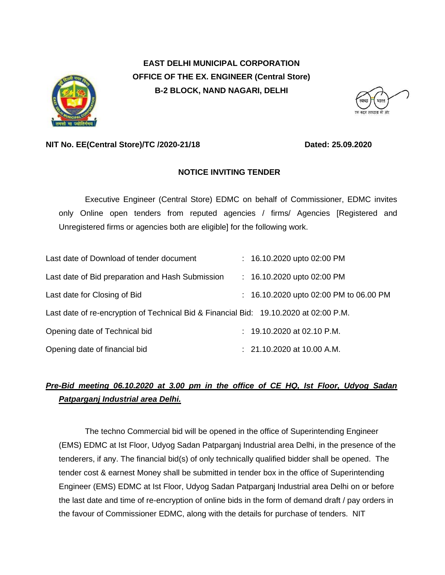

**EAST DELHI MUNICIPAL CORPORATION OFFICE OF THE EX. ENGINEER (Central Store) B-2 BLOCK, NAND NAGARI, DELHI**

#### **NIT No. EE(Central Store)/TC /2020-21/18** Dated: 25.09.2020

### **NOTICE INVITING TENDER**

Executive Engineer (Central Store) EDMC on behalf of Commissioner, EDMC invites only Online open tenders from reputed agencies / firms/ Agencies [Registered and Unregistered firms or agencies both are eligible] for the following work.

| Last date of Download of tender document                                              | $: 16.10.2020$ upto 02:00 PM           |
|---------------------------------------------------------------------------------------|----------------------------------------|
| Last date of Bid preparation and Hash Submission                                      | $: 16.10.2020$ upto 02:00 PM           |
| Last date for Closing of Bid                                                          | : 16.10.2020 upto 02:00 PM to 06.00 PM |
| Last date of re-encryption of Technical Bid & Financial Bid: 19.10.2020 at 02:00 P.M. |                                        |
| Opening date of Technical bid                                                         | : 19.10.2020 at 02.10 P.M.             |
| Opening date of financial bid                                                         | $: 21.10.2020$ at 10.00 A.M.           |

## *Pre-Bid meeting 06.10.2020 at 3.00 pm in the office of CE HQ, Ist Floor, Udyog Sadan Patparganj Industrial area Delhi.*

The techno Commercial bid will be opened in the office of Superintending Engineer (EMS) EDMC at Ist Floor, Udyog Sadan Patparganj Industrial area Delhi, in the presence of the tenderers, if any. The financial bid(s) of only technically qualified bidder shall be opened. The tender cost & earnest Money shall be submitted in tender box in the office of Superintending Engineer (EMS) EDMC at Ist Floor, Udyog Sadan Patparganj Industrial area Delhi on or before the last date and time of re-encryption of online bids in the form of demand draft / pay orders in the favour of Commissioner EDMC, along with the details for purchase of tenders. NIT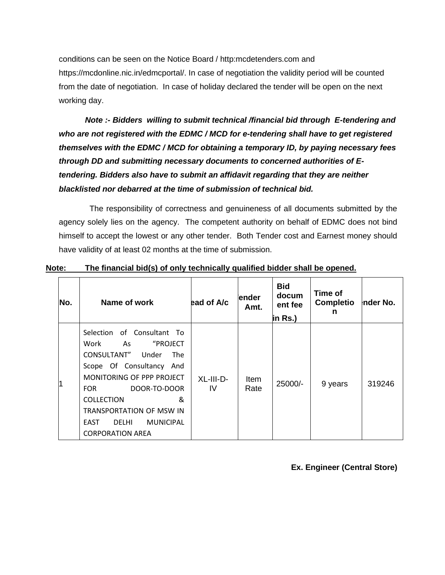conditions can be seen on the Notice Board / http:mcdetenders.com and https://mcdonline.nic.in/edmcportal/. In case of negotiation the validity period will be counted from the date of negotiation. In case of holiday declared the tender will be open on the next working day.

*Note :- Bidders willing to submit technical /financial bid through E-tendering and who are not registered with the EDMC / MCD for e-tendering shall have to get registered themselves with the EDMC / MCD for obtaining a temporary ID, by paying necessary fees through DD and submitting necessary documents to concerned authorities of Etendering. Bidders also have to submit an affidavit regarding that they are neither blacklisted nor debarred at the time of submission of technical bid.* 

 The responsibility of correctness and genuineness of all documents submitted by the agency solely lies on the agency. The competent authority on behalf of EDMC does not bind himself to accept the lowest or any other tender. Both Tender cost and Earnest money should have validity of at least 02 months at the time of submission.

| No. | Name of work                                                                                                                                                                                                                                                                                           | ead of A/c      | lender<br>Amt. | <b>Bid</b><br>docum<br>ent fee<br>in Rs.) | Time of<br>Completio<br>n | nder No. |
|-----|--------------------------------------------------------------------------------------------------------------------------------------------------------------------------------------------------------------------------------------------------------------------------------------------------------|-----------------|----------------|-------------------------------------------|---------------------------|----------|
|     | Selection of Consultant To<br>"PROJECT<br>Work<br>As<br>CONSULTANT" Under<br>The .<br>Scope Of Consultancy And<br>MONITORING OF PPP PROJECT<br>DOOR-TO-DOOR<br><b>FOR</b><br><b>COLLECTION</b><br>&<br>TRANSPORTATION OF MSW IN<br><b>MUNICIPAL</b><br>EAST<br><b>DELHI</b><br><b>CORPORATION AREA</b> | XL-III-D-<br>IV | Item<br>Rate   | 25000/-                                   | 9 years                   | 319246   |

#### **Note: The financial bid(s) of only technically qualified bidder shall be opened.**

**Ex. Engineer (Central Store)**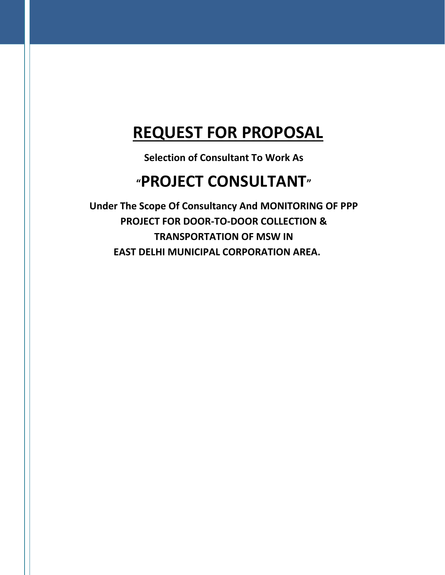# **REQUEST FOR PROPOSAL**

**Selection of Consultant To Work As** 

# **"PROJECT CONSULTANT"**

**Under The Scope Of Consultancy And MONITORING OF PPP PROJECT FOR DOOR-TO-DOOR COLLECTION & TRANSPORTATION OF MSW IN EAST DELHI MUNICIPAL CORPORATION AREA.**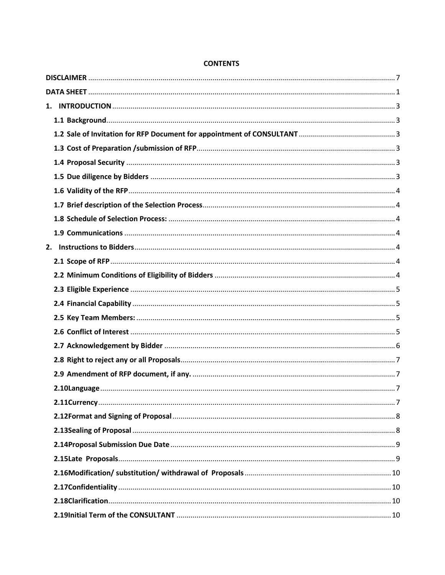#### **CONTENTS**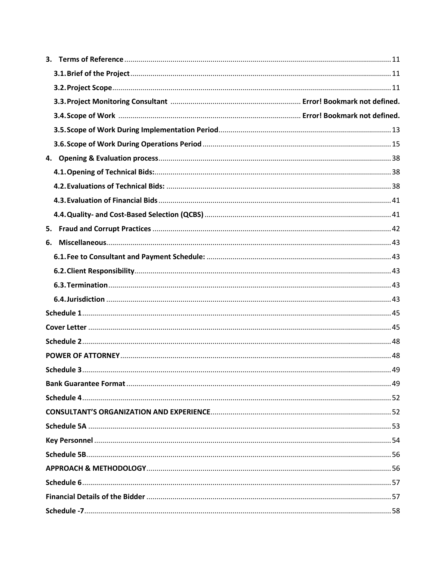| 5. |  |
|----|--|
|    |  |
|    |  |
|    |  |
|    |  |
|    |  |
|    |  |
|    |  |
|    |  |
|    |  |
|    |  |
|    |  |
|    |  |
|    |  |
|    |  |
|    |  |
|    |  |
|    |  |
|    |  |
|    |  |
|    |  |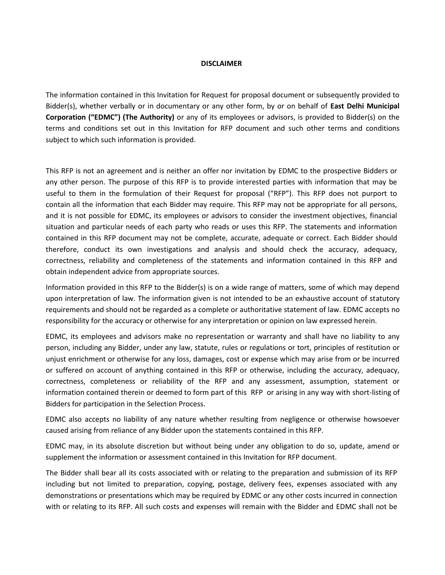#### **DISCLAIMER**

<span id="page-6-0"></span>The information contained in this Invitation for Request for proposal document or subsequently provided to Bidder(s), whether verbally or in documentary or any other form, by or on behalf of **East Delhi Municipal Corporation ("EDMC") (The Authority)** or any of its employees or advisors, is provided to Bidder(s) on the terms and conditions set out in this Invitation for RFP document and such other terms and conditions subject to which such information is provided.

This RFP is not an agreement and is neither an offer nor invitation by EDMC to the prospective Bidders or any other person. The purpose of this RFP is to provide interested parties with information that may be useful to them in the formulation of their Request for proposal ("RFP"). This RFP does not purport to contain all the information that each Bidder may require. This RFP may not be appropriate for all persons, and it is not possible for EDMC, its employees or advisors to consider the investment objectives, financial situation and particular needs of each party who reads or uses this RFP. The statements and information contained in this RFP document may not be complete, accurate, adequate or correct. Each Bidder should therefore, conduct its own investigations and analysis and should check the accuracy, adequacy, correctness, reliability and completeness of the statements and information contained in this RFP and obtain independent advice from appropriate sources.

Information provided in this RFP to the Bidder(s) is on a wide range of matters, some of which may depend upon interpretation of law. The information given is not intended to be an exhaustive account of statutory requirements and should not be regarded as a complete or authoritative statement of law. EDMC accepts no responsibility for the accuracy or otherwise for any interpretation or opinion on law expressed herein.

EDMC, its employees and advisors make no representation or warranty and shall have no liability to any person, including any Bidder, under any law, statute, rules or regulations or tort, principles of restitution or unjust enrichment or otherwise for any loss, damages, cost or expense which may arise from or be incurred or suffered on account of anything contained in this RFP or otherwise, including the accuracy, adequacy, correctness, completeness or reliability of the RFP and any assessment, assumption, statement or information contained therein or deemed to form part of this RFP or arising in any way with short-listing of Bidders for participation in the Selection Process.

EDMC also accepts no liability of any nature whether resulting from negligence or otherwise howsoever caused arising from reliance of any Bidder upon the statements contained in this RFP.

EDMC may, in its absolute discretion but without being under any obligation to do so, update, amend or supplement the information or assessment contained in this Invitation for RFP document.

The Bidder shall bear all its costs associated with or relating to the preparation and submission of its RFP including but not limited to preparation, copying, postage, delivery fees, expenses associated with any demonstrations or presentations which may be required by EDMC or any other costs incurred in connection with or relating to its RFP. All such costs and expenses will remain with the Bidder and EDMC shall not be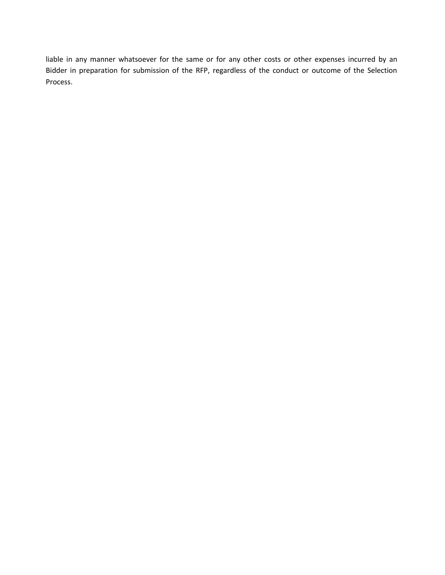liable in any manner whatsoever for the same or for any other costs or other expenses incurred by an Bidder in preparation for submission of the RFP, regardless of the conduct or outcome of the Selection Process.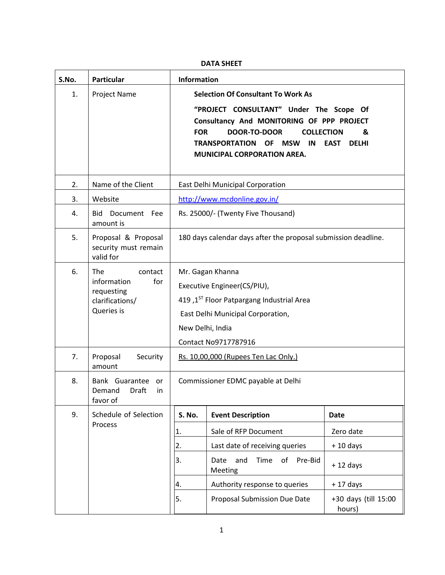#### **DATA SHEET**

<span id="page-8-0"></span>

| S.No. | <b>Particular</b>                                                                   | <b>Information</b>                                                                                                                                                                                                                                                                               |                                                                |            |  |  |
|-------|-------------------------------------------------------------------------------------|--------------------------------------------------------------------------------------------------------------------------------------------------------------------------------------------------------------------------------------------------------------------------------------------------|----------------------------------------------------------------|------------|--|--|
| 1.    | <b>Project Name</b>                                                                 | <b>Selection Of Consultant To Work As</b><br>"PROJECT CONSULTANT" Under The Scope Of<br>Consultancy And MONITORING OF PPP PROJECT<br><b>FOR</b><br>DOOR-TO-DOOR<br><b>COLLECTION</b><br>&<br>TRANSPORTATION OF<br>MSW<br>IN<br><b>EAST</b><br><b>DELHI</b><br><b>MUNICIPAL CORPORATION AREA.</b> |                                                                |            |  |  |
| 2.    | Name of the Client                                                                  |                                                                                                                                                                                                                                                                                                  | East Delhi Municipal Corporation                               |            |  |  |
| 3.    | Website                                                                             |                                                                                                                                                                                                                                                                                                  | http://www.mcdonline.gov.in/                                   |            |  |  |
| 4.    | <b>Bid</b><br>Document Fee<br>amount is                                             |                                                                                                                                                                                                                                                                                                  | Rs. 25000/- (Twenty Five Thousand)                             |            |  |  |
| 5.    | Proposal & Proposal<br>security must remain<br>valid for                            |                                                                                                                                                                                                                                                                                                  | 180 days calendar days after the proposal submission deadline. |            |  |  |
| 6.    | The<br>contact<br>information<br>for<br>requesting<br>clarifications/<br>Queries is | Mr. Gagan Khanna<br>Executive Engineer(CS/PIU),<br>419,1 <sup>ST</sup> Floor Patpargang Industrial Area<br>East Delhi Municipal Corporation,<br>New Delhi, India<br>Contact No9717787916                                                                                                         |                                                                |            |  |  |
| 7.    | Proposal<br>Security<br>amount                                                      | Rs. 10,00,000 (Rupees Ten Lac Only.)                                                                                                                                                                                                                                                             |                                                                |            |  |  |
| 8.    | Bank Guarantee<br>or<br>Draft<br>Demand<br>in.<br>favor of                          | Commissioner EDMC payable at Delhi                                                                                                                                                                                                                                                               |                                                                |            |  |  |
| 9.    | Schedule of Selection                                                               | S. No.<br><b>Event Description</b><br><b>Date</b>                                                                                                                                                                                                                                                |                                                                |            |  |  |
|       | Process                                                                             | 1.                                                                                                                                                                                                                                                                                               | Sale of RFP Document                                           | Zero date  |  |  |
|       |                                                                                     | 2.                                                                                                                                                                                                                                                                                               | Last date of receiving queries                                 | $+10$ days |  |  |
|       |                                                                                     | 3.                                                                                                                                                                                                                                                                                               | Time<br>and<br>of<br>Pre-Bid<br>Date<br>Meeting                | $+12$ days |  |  |
|       |                                                                                     | 4.                                                                                                                                                                                                                                                                                               | Authority response to queries                                  | $+17$ days |  |  |
|       |                                                                                     | 5.<br>Proposal Submission Due Date<br>+30 days (till 15:00<br>hours)                                                                                                                                                                                                                             |                                                                |            |  |  |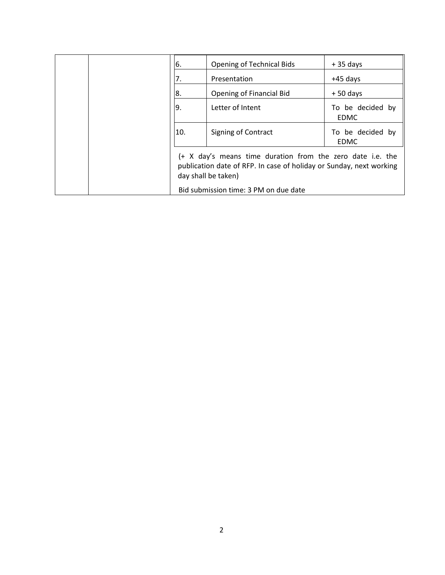|  | 6.                                                                                                                                                                                                | <b>Opening of Technical Bids</b> | $+35$ days                      |  |
|--|---------------------------------------------------------------------------------------------------------------------------------------------------------------------------------------------------|----------------------------------|---------------------------------|--|
|  | 7.                                                                                                                                                                                                | Presentation                     | $+45$ days                      |  |
|  | 8.                                                                                                                                                                                                | <b>Opening of Financial Bid</b>  | $+50$ days                      |  |
|  | 9.                                                                                                                                                                                                | Letter of Intent                 | To be decided by<br><b>EDMC</b> |  |
|  | 10.                                                                                                                                                                                               | Signing of Contract              | To be decided by<br><b>EDMC</b> |  |
|  | (+ X day's means time duration from the zero date i.e. the<br>publication date of RFP. In case of holiday or Sunday, next working<br>day shall be taken)<br>Bid submission time: 3 PM on due date |                                  |                                 |  |
|  |                                                                                                                                                                                                   |                                  |                                 |  |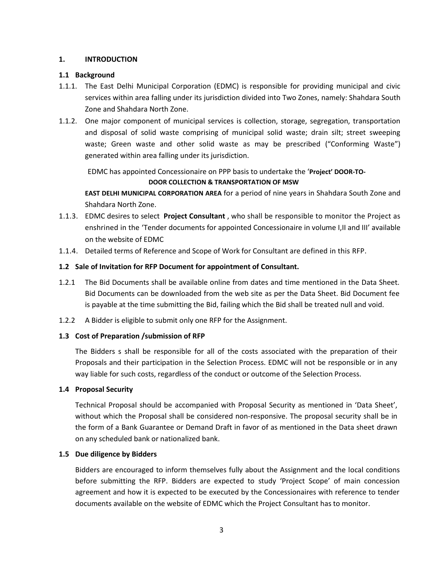#### <span id="page-10-0"></span>**1. INTRODUCTION**

#### <span id="page-10-1"></span>**1.1 Background**

- 1.1.1. The East Delhi Municipal Corporation (EDMC) is responsible for providing municipal and civic services within area falling under its jurisdiction divided into Two Zones, namely: Shahdara South Zone and Shahdara North Zone.
- 1.1.2. One major component of municipal services is collection, storage, segregation, transportation and disposal of solid waste comprising of municipal solid waste; drain silt; street sweeping waste; Green waste and other solid waste as may be prescribed ("Conforming Waste") generated within area falling under its jurisdiction.

EDMC has appointed Concessionaire on PPP basis to undertake the '**Project' DOOR-TO-**

#### **DOOR COLLECTION & TRANSPORTATION OF MSW**

**EAST DELHI MUNICIPAL CORPORATION AREA** for a period of nine years in Shahdara South Zone and Shahdara North Zone.

- 1.1.3. EDMC desires to select **Project Consultant** , who shall be responsible to monitor the Project as enshrined in the 'Tender documents for appointed Concessionaire in volume I,II and III' available on the website of EDMC
- 1.1.4. Detailed terms of Reference and Scope of Work for Consultant are defined in this RFP.

#### <span id="page-10-2"></span>**1.2 Sale of Invitation for RFP Document for appointment of Consultant.**

- 1.2.1 The Bid Documents shall be available online from dates and time mentioned in the Data Sheet. Bid Documents can be downloaded from the web site as per the Data Sheet. Bid Document fee is payable at the time submitting the Bid, failing which the Bid shall be treated null and void.
- 1.2.2 A Bidder is eligible to submit only one RFP for the Assignment.

#### <span id="page-10-3"></span>**1.3 Cost of Preparation /submission of RFP**

The Bidders s shall be responsible for all of the costs associated with the preparation of their Proposals and their participation in the Selection Process. EDMC will not be responsible or in any way liable for such costs, regardless of the conduct or outcome of the Selection Process.

#### <span id="page-10-4"></span>**1.4 Proposal Security**

Technical Proposal should be accompanied with Proposal Security as mentioned in 'Data Sheet', without which the Proposal shall be considered non-responsive. The proposal security shall be in the form of a Bank Guarantee or Demand Draft in favor of as mentioned in the Data sheet drawn on any scheduled bank or nationalized bank.

#### <span id="page-10-5"></span>**1.5 Due diligence by Bidders**

Bidders are encouraged to inform themselves fully about the Assignment and the local conditions before submitting the RFP. Bidders are expected to study 'Project Scope' of main concession agreement and how it is expected to be executed by the Concessionaires with reference to tender documents available on the website of EDMC which the Project Consultant has to monitor.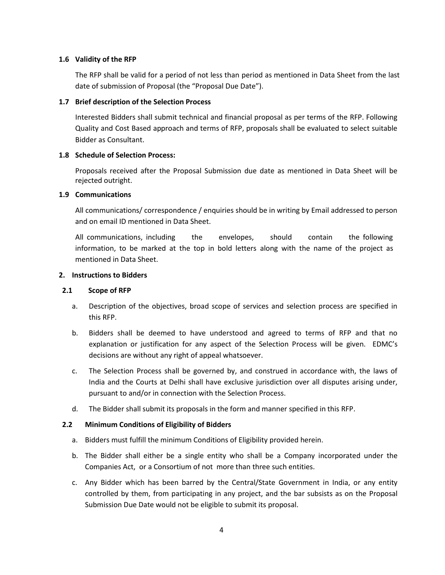#### <span id="page-11-0"></span>**1.6 Validity of the RFP**

The RFP shall be valid for a period of not less than period as mentioned in Data Sheet from the last date of submission of Proposal (the "Proposal Due Date").

#### <span id="page-11-1"></span>**1.7 Brief description of the Selection Process**

Interested Bidders shall submit technical and financial proposal as per terms of the RFP. Following Quality and Cost Based approach and terms of RFP, proposals shall be evaluated to select suitable Bidder as Consultant.

#### <span id="page-11-2"></span>**1.8 Schedule of Selection Process:**

Proposals received after the Proposal Submission due date as mentioned in Data Sheet will be rejected outright.

#### <span id="page-11-3"></span>**1.9 Communications**

All communications/ correspondence / enquiries should be in writing by Email addressed to person and on email ID mentioned in Data Sheet.

All communications, including the envelopes, should contain the following information, to be marked at the top in bold letters along with the name of the project as mentioned in Data Sheet.

#### <span id="page-11-4"></span>**2. Instructions to Bidders**

#### <span id="page-11-5"></span>**2.1 Scope of RFP**

- a. Description of the objectives, broad scope of services and selection process are specified in this RFP.
- b. Bidders shall be deemed to have understood and agreed to terms of RFP and that no explanation or justification for any aspect of the Selection Process will be given. EDMC's decisions are without any right of appeal whatsoever.
- c. The Selection Process shall be governed by, and construed in accordance with, the laws of India and the Courts at Delhi shall have exclusive jurisdiction over all disputes arising under, pursuant to and/or in connection with the Selection Process.
- d. The Bidder shall submit its proposals in the form and manner specified in this RFP.

#### <span id="page-11-6"></span>**2.2 Minimum Conditions of Eligibility of Bidders**

- a. Bidders must fulfill the minimum Conditions of Eligibility provided herein.
- b. The Bidder shall either be a single entity who shall be a Company incorporated under the Companies Act, or a Consortium of not more than three such entities.
- c. Any Bidder which has been barred by the Central/State Government in India, or any entity controlled by them, from participating in any project, and the bar subsists as on the Proposal Submission Due Date would not be eligible to submit its proposal.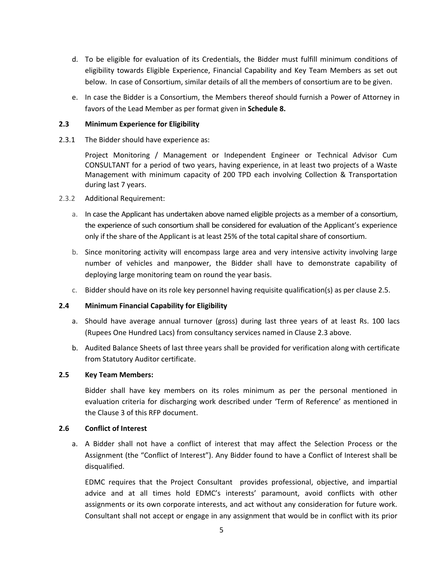- d. To be eligible for evaluation of its Credentials, the Bidder must fulfill minimum conditions of eligibility towards Eligible Experience, Financial Capability and Key Team Members as set out below. In case of Consortium, similar details of all the members of consortium are to be given.
- e. In case the Bidder is a Consortium, the Members thereof should furnish a Power of Attorney in favors of the Lead Member as per format given in **Schedule 8.**

#### <span id="page-12-0"></span>**2.3 Minimum Experience for Eligibility**

2.3.1 The Bidder should have experience as:

Project Monitoring / Management or Independent Engineer or Technical Advisor Cum CONSULTANT for a period of two years, having experience, in at least two projects of a Waste Management with minimum capacity of 200 TPD each involving Collection & Transportation during last 7 years.

- 2.3.2 Additional Requirement:
	- a. In case the Applicant has undertaken above named eligible projects as a member of a consortium, the experience of such consortium shall be considered for evaluation of the Applicant's experience only if the share of the Applicant is at least 25% of the total capital share of consortium.
	- b. Since monitoring activity will encompass large area and very intensive activity involving large number of vehicles and manpower, the Bidder shall have to demonstrate capability of deploying large monitoring team on round the year basis.
	- c. Bidder should have on its role key personnel having requisite qualification(s) as per clause 2.5.

#### <span id="page-12-1"></span>**2.4 Minimum Financial Capability for Eligibility**

- a. Should have average annual turnover (gross) during last three years of at least Rs. 100 lacs (Rupees One Hundred Lacs) from consultancy services named in Clause 2.3 above.
- b. Audited Balance Sheets of last three years shall be provided for verification along with certificate from Statutory Auditor certificate.

#### <span id="page-12-2"></span>**2.5 Key Team Members:**

Bidder shall have key members on its roles minimum as per the personal mentioned in evaluation criteria for discharging work described under 'Term of Reference' as mentioned in the Clause 3 of this RFP document.

#### <span id="page-12-3"></span>**2.6 Conflict of Interest**

a. A Bidder shall not have a conflict of interest that may affect the Selection Process or the Assignment (the "Conflict of Interest"). Any Bidder found to have a Conflict of Interest shall be disqualified.

EDMC requires that the Project Consultant provides professional, objective, and impartial advice and at all times hold EDMC's interests' paramount, avoid conflicts with other assignments or its own corporate interests, and act without any consideration for future work. Consultant shall not accept or engage in any assignment that would be in conflict with its prior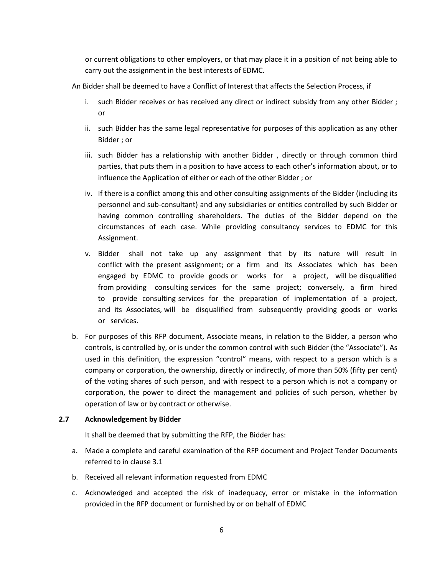or current obligations to other employers, or that may place it in a position of not being able to carry out the assignment in the best interests of EDMC.

An Bidder shall be deemed to have a Conflict of Interest that affects the Selection Process, if

- i. such Bidder receives or has received any direct or indirect subsidy from any other Bidder ; or
- ii. such Bidder has the same legal representative for purposes of this application as any other Bidder ; or
- iii. such Bidder has a relationship with another Bidder , directly or through common third parties, that puts them in a position to have access to each other's information about, or to influence the Application of either or each of the other Bidder ; or
- iv. If there is a conflict among this and other consulting assignments of the Bidder (including its personnel and sub-consultant) and any subsidiaries or entities controlled by such Bidder or having common controlling shareholders. The duties of the Bidder depend on the circumstances of each case. While providing consultancy services to EDMC for this Assignment.
- v. Bidder shall not take up any assignment that by its nature will result in conflict with the present assignment; or a firm and its Associates which has been engaged by EDMC to provide goods or works for a project, will be disqualified from providing consulting services for the same project; conversely, a firm hired to provide consulting services for the preparation of implementation of a project, and its Associates, will be disqualified from subsequently providing goods or works or services.
- b. For purposes of this RFP document, Associate means, in relation to the Bidder, a person who controls, is controlled by, or is under the common control with such Bidder (the "Associate"). As used in this definition, the expression "control" means, with respect to a person which is a company or corporation, the ownership, directly or indirectly, of more than 50% (fifty per cent) of the voting shares of such person, and with respect to a person which is not a company or corporation, the power to direct the management and policies of such person, whether by operation of law or by contract or otherwise.

#### <span id="page-13-0"></span>**2.7 Acknowledgement by Bidder**

It shall be deemed that by submitting the RFP, the Bidder has:

- a. Made a complete and careful examination of the RFP document and Project Tender Documents referred to in clause 3.1
- b. Received all relevant information requested from EDMC
- c. Acknowledged and accepted the risk of inadequacy, error or mistake in the information provided in the RFP document or furnished by or on behalf of EDMC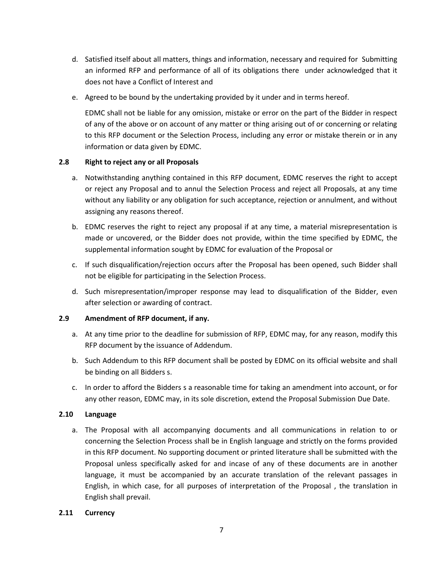- d. Satisfied itself about all matters, things and information, necessary and required for Submitting an informed RFP and performance of all of its obligations there under acknowledged that it does not have a Conflict of Interest and
- e. Agreed to be bound by the undertaking provided by it under and in terms hereof.

EDMC shall not be liable for any omission, mistake or error on the part of the Bidder in respect of any of the above or on account of any matter or thing arising out of or concerning or relating to this RFP document or the Selection Process, including any error or mistake therein or in any information or data given by EDMC.

#### <span id="page-14-0"></span>**2.8 Right to reject any or all Proposals**

- a. Notwithstanding anything contained in this RFP document, EDMC reserves the right to accept or reject any Proposal and to annul the Selection Process and reject all Proposals, at any time without any liability or any obligation for such acceptance, rejection or annulment, and without assigning any reasons thereof.
- b. EDMC reserves the right to reject any proposal if at any time, a material misrepresentation is made or uncovered, or the Bidder does not provide, within the time specified by EDMC, the supplemental information sought by EDMC for evaluation of the Proposal or
- c. If such disqualification/rejection occurs after the Proposal has been opened, such Bidder shall not be eligible for participating in the Selection Process.
- d. Such misrepresentation/improper response may lead to disqualification of the Bidder, even after selection or awarding of contract.

#### <span id="page-14-1"></span>**2.9 Amendment of RFP document, if any.**

- a. At any time prior to the deadline for submission of RFP, EDMC may, for any reason, modify this RFP document by the issuance of Addendum.
- b. Such Addendum to this RFP document shall be posted by EDMC on its official website and shall be binding on all Bidders s.
- c. In order to afford the Bidders s a reasonable time for taking an amendment into account, or for any other reason, EDMC may, in its sole discretion, extend the Proposal Submission Due Date.

#### <span id="page-14-2"></span>**2.10 Language**

a. The Proposal with all accompanying documents and all communications in relation to or concerning the Selection Process shall be in English language and strictly on the forms provided in this RFP document. No supporting document or printed literature shall be submitted with the Proposal unless specifically asked for and incase of any of these documents are in another language, it must be accompanied by an accurate translation of the relevant passages in English, in which case, for all purposes of interpretation of the Proposal , the translation in English shall prevail.

#### <span id="page-14-3"></span>**2.11 Currency**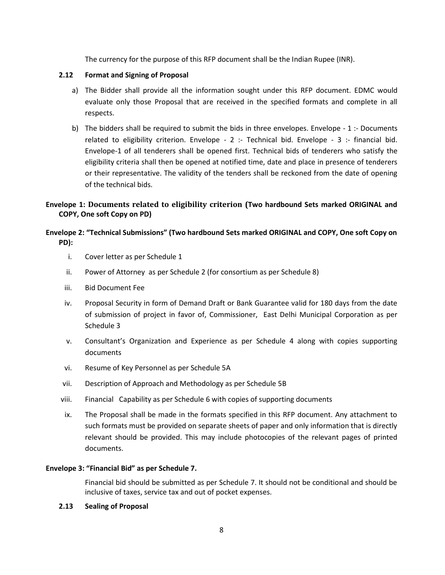The currency for the purpose of this RFP document shall be the Indian Rupee (INR).

#### <span id="page-15-0"></span>**2.12 Format and Signing of Proposal**

- a) The Bidder shall provide all the information sought under this RFP document. EDMC would evaluate only those Proposal that are received in the specified formats and complete in all respects.
- b) The bidders shall be required to submit the bids in three envelopes. Envelope 1 :- Documents related to eligibility criterion. Envelope - 2 :- Technical bid. Envelope - 3 :- financial bid. Envelope-1 of all tenderers shall be opened first. Technical bids of tenderers who satisfy the eligibility criteria shall then be opened at notified time, date and place in presence of tenderers or their representative. The validity of the tenders shall be reckoned from the date of opening of the technical bids.

#### **Envelope 1: Documents related to eligibility criterion (Two hardbound Sets marked ORIGINAL and COPY, One soft Copy on PD)**

#### **Envelope 2: "Technical Submissions" (Two hardbound Sets marked ORIGINAL and COPY, One soft Copy on PD):**

- i. Cover letter as per Schedule 1
- ii. Power of Attorney as per Schedule 2 (for consortium as per Schedule 8)
- iii. Bid Document Fee
- iv. Proposal Security in form of Demand Draft or Bank Guarantee valid for 180 days from the date of submission of project in favor of, Commissioner, East Delhi Municipal Corporation as per Schedule 3
- v. Consultant's Organization and Experience as per Schedule 4 along with copies supporting documents
- vi. Resume of Key Personnel as per Schedule 5A
- vii. Description of Approach and Methodology as per Schedule 5B
- viii. Financial Capability as per Schedule 6 with copies of supporting documents
- ix. The Proposal shall be made in the formats specified in this RFP document. Any attachment to such formats must be provided on separate sheets of paper and only information that is directly relevant should be provided. This may include photocopies of the relevant pages of printed documents.

#### **Envelope 3: "Financial Bid" as per Schedule 7.**

Financial bid should be submitted as per Schedule 7. It should not be conditional and should be inclusive of taxes, service tax and out of pocket expenses.

#### <span id="page-15-1"></span>**2.13 Sealing of Proposal**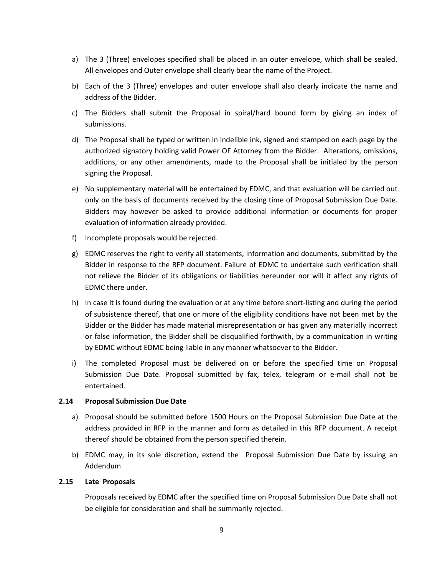- a) The 3 (Three) envelopes specified shall be placed in an outer envelope, which shall be sealed. All envelopes and Outer envelope shall clearly bear the name of the Project.
- b) Each of the 3 (Three) envelopes and outer envelope shall also clearly indicate the name and address of the Bidder.
- c) The Bidders shall submit the Proposal in spiral/hard bound form by giving an index of submissions.
- d) The Proposal shall be typed or written in indelible ink, signed and stamped on each page by the authorized signatory holding valid Power OF Attorney from the Bidder. Alterations, omissions, additions, or any other amendments, made to the Proposal shall be initialed by the person signing the Proposal.
- e) No supplementary material will be entertained by EDMC, and that evaluation will be carried out only on the basis of documents received by the closing time of Proposal Submission Due Date. Bidders may however be asked to provide additional information or documents for proper evaluation of information already provided.
- f) Incomplete proposals would be rejected.
- g) EDMC reserves the right to verify all statements, information and documents, submitted by the Bidder in response to the RFP document. Failure of EDMC to undertake such verification shall not relieve the Bidder of its obligations or liabilities hereunder nor will it affect any rights of EDMC there under.
- h) In case it is found during the evaluation or at any time before short-listing and during the period of subsistence thereof, that one or more of the eligibility conditions have not been met by the Bidder or the Bidder has made material misrepresentation or has given any materially incorrect or false information, the Bidder shall be disqualified forthwith, by a communication in writing by EDMC without EDMC being liable in any manner whatsoever to the Bidder.
- i) The completed Proposal must be delivered on or before the specified time on Proposal Submission Due Date. Proposal submitted by fax, telex, telegram or e-mail shall not be entertained.

#### <span id="page-16-0"></span>**2.14 Proposal Submission Due Date**

- a) Proposal should be submitted before 1500 Hours on the Proposal Submission Due Date at the address provided in RFP in the manner and form as detailed in this RFP document. A receipt thereof should be obtained from the person specified therein.
- b) EDMC may, in its sole discretion, extend the Proposal Submission Due Date by issuing an Addendum

#### <span id="page-16-1"></span>**2.15 Late Proposals**

Proposals received by EDMC after the specified time on Proposal Submission Due Date shall not be eligible for consideration and shall be summarily rejected.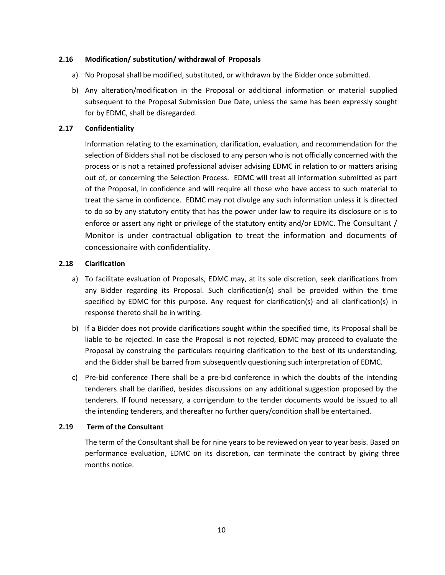#### <span id="page-17-0"></span>**2.16 Modification/ substitution/ withdrawal of Proposals**

- a) No Proposal shall be modified, substituted, or withdrawn by the Bidder once submitted.
- b) Any alteration/modification in the Proposal or additional information or material supplied subsequent to the Proposal Submission Due Date, unless the same has been expressly sought for by EDMC, shall be disregarded.

#### <span id="page-17-1"></span>**2.17 Confidentiality**

Information relating to the examination, clarification, evaluation, and recommendation for the selection of Bidders shall not be disclosed to any person who is not officially concerned with the process or is not a retained professional adviser advising EDMC in relation to or matters arising out of, or concerning the Selection Process. EDMC will treat all information submitted as part of the Proposal, in confidence and will require all those who have access to such material to treat the same in confidence. EDMC may not divulge any such information unless it is directed to do so by any statutory entity that has the power under law to require its disclosure or is to enforce or assert any right or privilege of the statutory entity and/or EDMC. The Consultant / Monitor is under contractual obligation to treat the information and documents of concessionaire with confidentiality.

#### <span id="page-17-2"></span>**2.18 Clarification**

- a) To facilitate evaluation of Proposals, EDMC may, at its sole discretion, seek clarifications from any Bidder regarding its Proposal. Such clarification(s) shall be provided within the time specified by EDMC for this purpose. Any request for clarification(s) and all clarification(s) in response thereto shall be in writing.
- b) If a Bidder does not provide clarifications sought within the specified time, its Proposal shall be liable to be rejected. In case the Proposal is not rejected, EDMC may proceed to evaluate the Proposal by construing the particulars requiring clarification to the best of its understanding, and the Bidder shall be barred from subsequently questioning such interpretation of EDMC.
- c) Pre-bid conference There shall be a pre-bid conference in which the doubts of the intending tenderers shall be clarified, besides discussions on any additional suggestion proposed by the tenderers. If found necessary, a corrigendum to the tender documents would be issued to all the intending tenderers, and thereafter no further query/condition shall be entertained.

#### <span id="page-17-3"></span>**2.19 Term of the Consultant**

The term of the Consultant shall be for nine years to be reviewed on year to year basis. Based on performance evaluation, EDMC on its discretion, can terminate the contract by giving three months notice.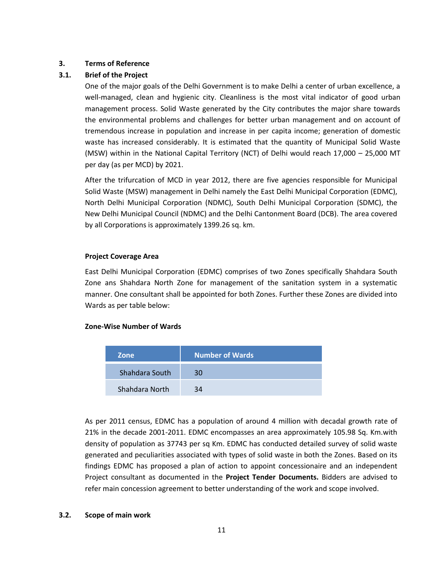#### <span id="page-18-0"></span>**3. Terms of Reference**

#### <span id="page-18-1"></span>**3.1. Brief of the Project**

One of the major goals of the Delhi Government is to make Delhi a center of urban excellence, a well-managed, clean and hygienic city. Cleanliness is the most vital indicator of good urban management process. Solid Waste generated by the City contributes the major share towards the environmental problems and challenges for better urban management and on account of tremendous increase in population and increase in per capita income; generation of domestic waste has increased considerably. It is estimated that the quantity of Municipal Solid Waste (MSW) within in the National Capital Territory (NCT) of Delhi would reach 17,000 – 25,000 MT per day (as per MCD) by 2021.

After the trifurcation of MCD in year 2012, there are five agencies responsible for Municipal Solid Waste (MSW) management in Delhi namely the East Delhi Municipal Corporation (EDMC), North Delhi Municipal Corporation (NDMC), South Delhi Municipal Corporation (SDMC), the New Delhi Municipal Council (NDMC) and the Delhi Cantonment Board (DCB). The area covered by all Corporations is approximately 1399.26 sq. km.

#### **Project Coverage Area**

East Delhi Municipal Corporation (EDMC) comprises of two Zones specifically Shahdara South Zone ans Shahdara North Zone for management of the sanitation system in a systematic manner. One consultant shall be appointed for both Zones. Further these Zones are divided into Wards as per table below:

#### **Zone-Wise Number of Wards**

| Zone           | <b>Number of Wards</b> |
|----------------|------------------------|
| Shahdara South | 30                     |
| Shahdara North | 34                     |

As per 2011 census, EDMC has a population of around 4 million with decadal growth rate of 21% in the decade 2001-2011. EDMC encompasses an area approximately 105.98 Sq. Km.with density of population as 37743 per sq Km. EDMC has conducted detailed survey of solid waste generated and peculiarities associated with types of solid waste in both the Zones. Based on its findings EDMC has proposed a plan of action to appoint concessionaire and an independent Project consultant as documented in the **Project Tender Documents.** Bidders are advised to refer main concession agreement to better understanding of the work and scope involved.

#### <span id="page-18-2"></span>**3.2. Scope of main work**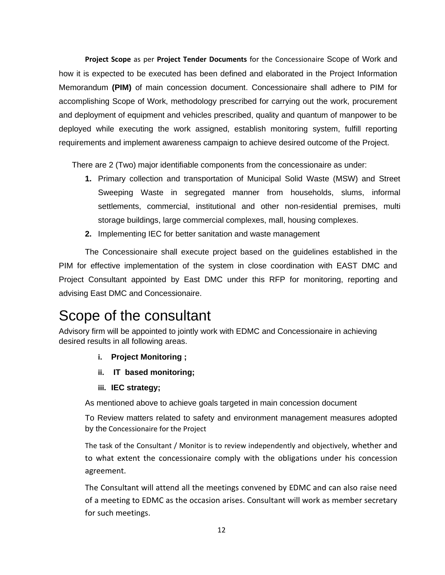**Project Scope** as per **Project Tender Documents** for the Concessionaire Scope of Work and how it is expected to be executed has been defined and elaborated in the Project Information Memorandum **(PIM)** of main concession document. Concessionaire shall adhere to PIM for accomplishing Scope of Work, methodology prescribed for carrying out the work, procurement and deployment of equipment and vehicles prescribed, quality and quantum of manpower to be deployed while executing the work assigned, establish monitoring system, fulfill reporting requirements and implement awareness campaign to achieve desired outcome of the Project.

There are 2 (Two) major identifiable components from the concessionaire as under:

- **1.** Primary collection and transportation of Municipal Solid Waste (MSW) and Street Sweeping Waste in segregated manner from households, slums, informal settlements, commercial, institutional and other non-residential premises, multi storage buildings, large commercial complexes, mall, housing complexes.
- **2.** Implementing IEC for better sanitation and waste management

The Concessionaire shall execute project based on the guidelines established in the PIM for effective implementation of the system in close coordination with EAST DMC and Project Consultant appointed by East DMC under this RFP for monitoring, reporting and advising East DMC and Concessionaire.

## Scope of the consultant

Advisory firm will be appointed to jointly work with EDMC and Concessionaire in achieving desired results in all following areas.

- **i. Project Monitoring ;**
- **ii. IT based monitoring;**
- **iii. IEC strategy;**

As mentioned above to achieve goals targeted in main concession document

To Review matters related to safety and environment management measures adopted by the Concessionaire for the Project

The task of the Consultant / Monitor is to review independently and objectively, whether and to what extent the concessionaire comply with the obligations under his concession agreement.

The Consultant will attend all the meetings convened by EDMC and can also raise need of a meeting to EDMC as the occasion arises. Consultant will work as member secretary for such meetings.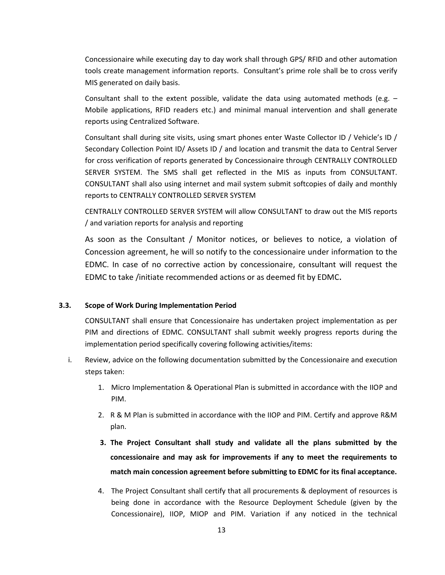Concessionaire while executing day to day work shall through GPS/ RFID and other automation tools create management information reports. Consultant's prime role shall be to cross verify MIS generated on daily basis.

Consultant shall to the extent possible, validate the data using automated methods (e.g. – Mobile applications, RFID readers etc.) and minimal manual intervention and shall generate reports using Centralized Software.

Consultant shall during site visits, using smart phones enter Waste Collector ID / Vehicle's ID / Secondary Collection Point ID/ Assets ID / and location and transmit the data to Central Server for cross verification of reports generated by Concessionaire through CENTRALLY CONTROLLED SERVER SYSTEM. The SMS shall get reflected in the MIS as inputs from CONSULTANT. CONSULTANT shall also using internet and mail system submit softcopies of daily and monthly reports to CENTRALLY CONTROLLED SERVER SYSTEM

CENTRALLY CONTROLLED SERVER SYSTEM will allow CONSULTANT to draw out the MIS reports / and variation reports for analysis and reporting

As soon as the Consultant / Monitor notices, or believes to notice, a violation of Concession agreement, he will so notify to the concessionaire under information to the EDMC. In case of no corrective action by concessionaire, consultant will request the EDMC to take /initiate recommended actions or as deemed fit by EDMC**.** 

#### <span id="page-20-0"></span>**3.3. Scope of Work During Implementation Period**

CONSULTANT shall ensure that Concessionaire has undertaken project implementation as per PIM and directions of EDMC. CONSULTANT shall submit weekly progress reports during the implementation period specifically covering following activities/items:

- i. Review, advice on the following documentation submitted by the Concessionaire and execution steps taken:
	- 1. Micro Implementation & Operational Plan is submitted in accordance with the IIOP and PIM.
	- 2. R & M Plan is submitted in accordance with the IIOP and PIM. Certify and approve R&M plan.
	- **3. The Project Consultant shall study and validate all the plans submitted by the concessionaire and may ask for improvements if any to meet the requirements to match main concession agreement before submitting to EDMC for its final acceptance.**
	- 4. The Project Consultant shall certify that all procurements & deployment of resources is being done in accordance with the Resource Deployment Schedule (given by the Concessionaire), IIOP, MIOP and PIM. Variation if any noticed in the technical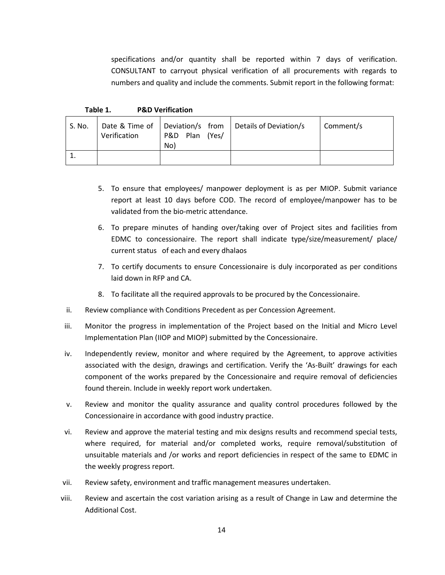specifications and/or quantity shall be reported within 7 days of verification. CONSULTANT to carryout physical verification of all procurements with regards to numbers and quality and include the comments. Submit report in the following format:

**Table 1. P&D Verification**

| S. No. | Verification | P&D Plan (Yes/<br>No) | Date & Time of   Deviation/s from   Details of Deviation/s | ∣ Comment/s |
|--------|--------------|-----------------------|------------------------------------------------------------|-------------|
|        |              |                       |                                                            |             |

- 5. To ensure that employees/ manpower deployment is as per MIOP. Submit variance report at least 10 days before COD. The record of employee/manpower has to be validated from the bio-metric attendance.
- 6. To prepare minutes of handing over/taking over of Project sites and facilities from EDMC to concessionaire. The report shall indicate type/size/measurement/ place/ current status of each and every dhalaos
- 7. To certify documents to ensure Concessionaire is duly incorporated as per conditions laid down in RFP and CA.
- 8. To facilitate all the required approvals to be procured by the Concessionaire.
- ii. Review compliance with Conditions Precedent as per Concession Agreement.
- iii. Monitor the progress in implementation of the Project based on the Initial and Micro Level Implementation Plan (IIOP and MIOP) submitted by the Concessionaire.
- iv. Independently review, monitor and where required by the Agreement, to approve activities associated with the design, drawings and certification. Verify the 'As-Built' drawings for each component of the works prepared by the Concessionaire and require removal of deficiencies found therein. Include in weekly report work undertaken.
- v. Review and monitor the quality assurance and quality control procedures followed by the Concessionaire in accordance with good industry practice.
- vi. Review and approve the material testing and mix designs results and recommend special tests, where required, for material and/or completed works, require removal/substitution of unsuitable materials and /or works and report deficiencies in respect of the same to EDMC in the weekly progress report.
- vii. Review safety, environment and traffic management measures undertaken.
- viii. Review and ascertain the cost variation arising as a result of Change in Law and determine the Additional Cost.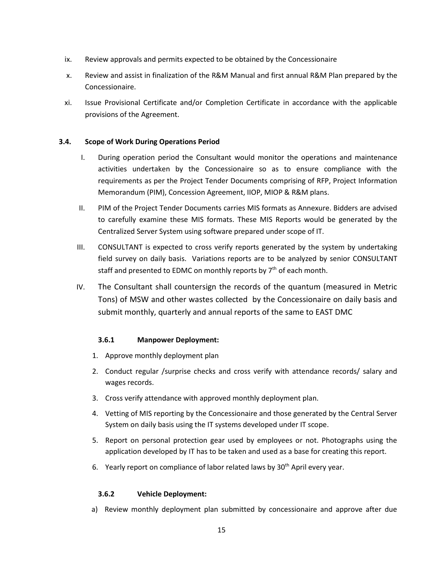- ix. Review approvals and permits expected to be obtained by the Concessionaire
- x. Review and assist in finalization of the R&M Manual and first annual R&M Plan prepared by the Concessionaire.
- xi. Issue Provisional Certificate and/or Completion Certificate in accordance with the applicable provisions of the Agreement.

#### <span id="page-22-0"></span>**3.4. Scope of Work During Operations Period**

- I. During operation period the Consultant would monitor the operations and maintenance activities undertaken by the Concessionaire so as to ensure compliance with the requirements as per the Project Tender Documents comprising of RFP, Project Information Memorandum (PIM), Concession Agreement, IIOP, MIOP & R&M plans.
- II. PIM of the Project Tender Documents carries MIS formats as Annexure. Bidders are advised to carefully examine these MIS formats. These MIS Reports would be generated by the Centralized Server System using software prepared under scope of IT.
- III. CONSULTANT is expected to cross verify reports generated by the system by undertaking field survey on daily basis. Variations reports are to be analyzed by senior CONSULTANT staff and presented to EDMC on monthly reports by  $7<sup>th</sup>$  of each month.
- IV. The Consultant shall countersign the records of the quantum (measured in Metric Tons) of MSW and other wastes collected by the Concessionaire on daily basis and submit monthly, quarterly and annual reports of the same to EAST DMC

#### **3.6.1 Manpower Deployment:**

- 1. Approve monthly deployment plan
- 2. Conduct regular /surprise checks and cross verify with attendance records/ salary and wages records.
- 3. Cross verify attendance with approved monthly deployment plan.
- 4. Vetting of MIS reporting by the Concessionaire and those generated by the Central Server System on daily basis using the IT systems developed under IT scope.
- 5. Report on personal protection gear used by employees or not. Photographs using the application developed by IT has to be taken and used as a base for creating this report.
- 6. Yearly report on compliance of labor related laws by 30<sup>th</sup> April every year.

#### **3.6.2 Vehicle Deployment:**

a) Review monthly deployment plan submitted by concessionaire and approve after due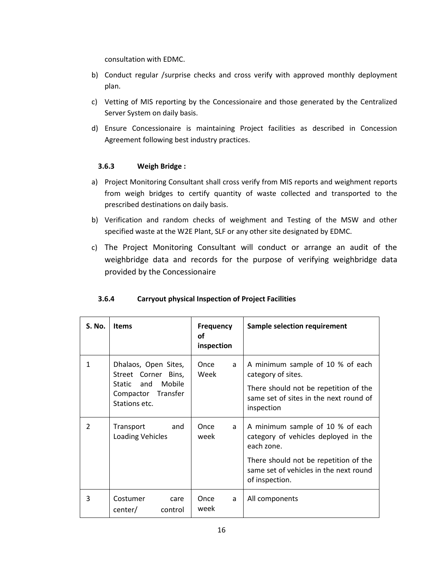consultation with EDMC.

- b) Conduct regular /surprise checks and cross verify with approved monthly deployment plan.
- c) Vetting of MIS reporting by the Concessionaire and those generated by the Centralized Server System on daily basis.
- d) Ensure Concessionaire is maintaining Project facilities as described in Concession Agreement following best industry practices.

#### **3.6.3 Weigh Bridge :**

- a) Project Monitoring Consultant shall cross verify from MIS reports and weighment reports from weigh bridges to certify quantity of waste collected and transported to the prescribed destinations on daily basis.
- b) Verification and random checks of weighment and Testing of the MSW and other specified waste at the W2E Plant, SLF or any other site designated by EDMC.
- c) The Project Monitoring Consultant will conduct or arrange an audit of the weighbridge data and records for the purpose of verifying weighbridge data provided by the Concessionaire

| S. No.        | <b>Items</b>                                                                                                  | Frequency<br>οf<br>inspection | Sample selection requirement                                                                                                                                                                |
|---------------|---------------------------------------------------------------------------------------------------------------|-------------------------------|---------------------------------------------------------------------------------------------------------------------------------------------------------------------------------------------|
| $\mathbf{1}$  | Dhalaos, Open Sites,<br>Street Corner Bins,<br>and<br>Mobile<br>Static<br>Compactor Transfer<br>Stations etc. | Once<br>a<br>Week             | A minimum sample of 10 % of each<br>category of sites.<br>There should not be repetition of the<br>same set of sites in the next round of<br>inspection                                     |
| $\mathcal{P}$ | Transport<br>and<br>Loading Vehicles                                                                          | Once<br>a<br>week             | A minimum sample of 10 % of each<br>category of vehicles deployed in the<br>each zone.<br>There should not be repetition of the<br>same set of vehicles in the next round<br>of inspection. |
| 3             | Costumer<br>care<br>center/<br>control                                                                        | Once<br>a<br>week             | All components                                                                                                                                                                              |

#### **3.6.4 Carryout physical Inspection of Project Facilities**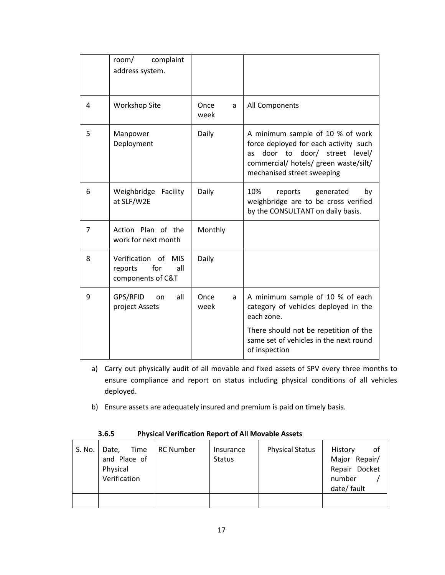|   | complaint<br>room/<br>address system.                                       |                   |                                                                                                                                                                                                       |
|---|-----------------------------------------------------------------------------|-------------------|-------------------------------------------------------------------------------------------------------------------------------------------------------------------------------------------------------|
| 4 | <b>Workshop Site</b>                                                        | Once<br>a<br>week | All Components                                                                                                                                                                                        |
| 5 | Manpower<br>Deployment                                                      | Daily             | A minimum sample of 10 % of work<br>force deployed for each activity such<br>door to<br>door/<br>street<br>level/<br><b>as</b><br>commercial/ hotels/ green waste/silt/<br>mechanised street sweeping |
| 6 | Facility<br>Weighbridge<br>at SLF/W2E                                       | Daily             | 10%<br>reports<br>generated<br>by<br>weighbridge are to be cross verified<br>by the CONSULTANT on daily basis.                                                                                        |
| 7 | Action Plan of the<br>work for next month                                   | Monthly           |                                                                                                                                                                                                       |
| 8 | Verification of<br><b>MIS</b><br>for<br>all<br>reports<br>components of C&T | Daily             |                                                                                                                                                                                                       |
| 9 | GPS/RFID<br>all<br>on<br>project Assets                                     | Once<br>a<br>week | A minimum sample of 10 % of each<br>category of vehicles deployed in the<br>each zone.                                                                                                                |
|   |                                                                             |                   | There should not be repetition of the<br>same set of vehicles in the next round<br>of inspection                                                                                                      |

- a) Carry out physically audit of all movable and fixed assets of SPV every three months to ensure compliance and report on status including physical conditions of all vehicles deployed.
- b) Ensure assets are adequately insured and premium is paid on timely basis.

| S. No. | Time<br>Date,<br>and Place of<br>Physical<br>Verification | <b>RC Number</b> | Insurance<br><b>Status</b> | <b>Physical Status</b> | History<br>оf<br>Major Repair/<br>Repair Docket<br>number<br>date/ fault |
|--------|-----------------------------------------------------------|------------------|----------------------------|------------------------|--------------------------------------------------------------------------|
|        |                                                           |                  |                            |                        |                                                                          |

#### **3.6.5 Physical Verification Report of All Movable Assets**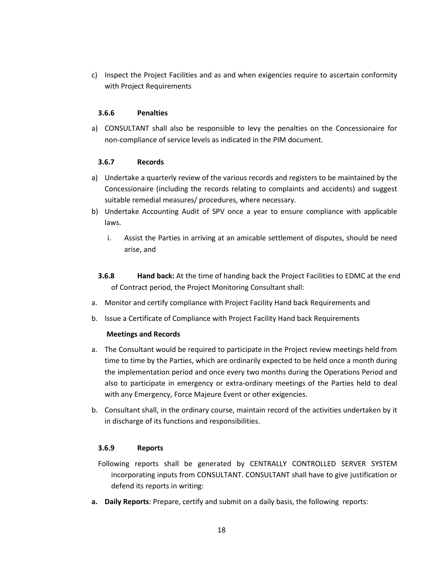c) Inspect the Project Facilities and as and when exigencies require to ascertain conformity with Project Requirements

#### **3.6.6 Penalties**

a) CONSULTANT shall also be responsible to levy the penalties on the Concessionaire for non-compliance of service levels as indicated in the PIM document.

#### **3.6.7 Records**

- a) Undertake a quarterly review of the various records and registers to be maintained by the Concessionaire (including the records relating to complaints and accidents) and suggest suitable remedial measures/ procedures, where necessary.
- b) Undertake Accounting Audit of SPV once a year to ensure compliance with applicable laws.
	- i. Assist the Parties in arriving at an amicable settlement of disputes, should be need arise, and
	- **3.6.8 Hand back:** At the time of handing back the Project Facilities to EDMC at the end of Contract period, the Project Monitoring Consultant shall:
- a. Monitor and certify compliance with Project Facility Hand back Requirements and
- b. Issue a Certificate of Compliance with Project Facility Hand back Requirements

#### **Meetings and Records**

- a. The Consultant would be required to participate in the Project review meetings held from time to time by the Parties, which are ordinarily expected to be held once a month during the implementation period and once every two months during the Operations Period and also to participate in emergency or extra-ordinary meetings of the Parties held to deal with any Emergency, Force Majeure Event or other exigencies.
- b. Consultant shall, in the ordinary course, maintain record of the activities undertaken by it in discharge of its functions and responsibilities.

#### **3.6.9 Reports**

- Following reports shall be generated by CENTRALLY CONTROLLED SERVER SYSTEM incorporating inputs from CONSULTANT. CONSULTANT shall have to give justification or defend its reports in writing:
- **a. Daily Reports**: Prepare, certify and submit on a daily basis, the following reports: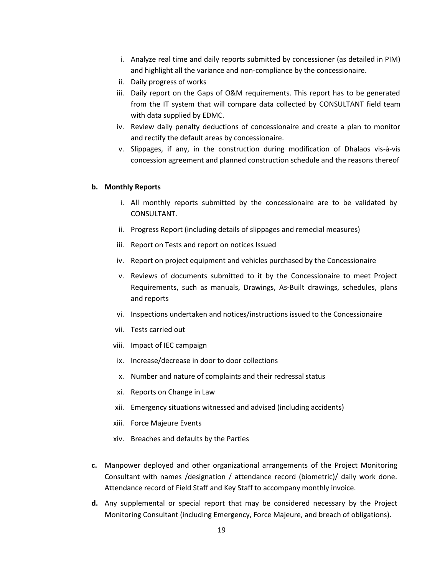- i. Analyze real time and daily reports submitted by concessioner (as detailed in PIM) and highlight all the variance and non-compliance by the concessionaire.
- ii. Daily progress of works
- iii. Daily report on the Gaps of O&M requirements. This report has to be generated from the IT system that will compare data collected by CONSULTANT field team with data supplied by EDMC.
- iv. Review daily penalty deductions of concessionaire and create a plan to monitor and rectify the default areas by concessionaire.
- v. Slippages, if any, in the construction during modification of Dhalaos vis-à-vis concession agreement and planned construction schedule and the reasons thereof

#### **b. Monthly Reports**

- i. All monthly reports submitted by the concessionaire are to be validated by CONSULTANT.
- ii. Progress Report (including details of slippages and remedial measures)
- iii. Report on Tests and report on notices Issued
- iv. Report on project equipment and vehicles purchased by the Concessionaire
- v. Reviews of documents submitted to it by the Concessionaire to meet Project Requirements, such as manuals, Drawings, As-Built drawings, schedules, plans and reports
- vi. Inspections undertaken and notices/instructions issued to the Concessionaire
- vii. Tests carried out
- viii. Impact of IEC campaign
- ix. Increase/decrease in door to door collections
- x. Number and nature of complaints and their redressal status
- xi. Reports on Change in Law
- xii. Emergency situations witnessed and advised (including accidents)
- xiii. Force Majeure Events
- xiv. Breaches and defaults by the Parties
- **c.** Manpower deployed and other organizational arrangements of the Project Monitoring Consultant with names /designation / attendance record (biometric)/ daily work done. Attendance record of Field Staff and Key Staff to accompany monthly invoice.
- **d.** Any supplemental or special report that may be considered necessary by the Project Monitoring Consultant (including Emergency, Force Majeure, and breach of obligations).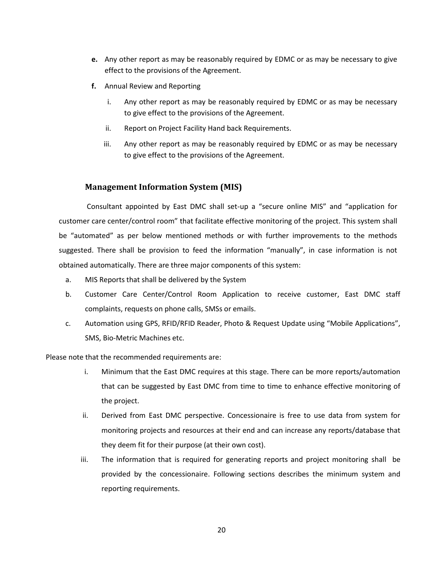- **e.** Any other report as may be reasonably required by EDMC or as may be necessary to give effect to the provisions of the Agreement.
- **f.** Annual Review and Reporting
	- i. Any other report as may be reasonably required by EDMC or as may be necessary to give effect to the provisions of the Agreement.
	- ii. Report on Project Facility Hand back Requirements.
	- iii. Any other report as may be reasonably required by EDMC or as may be necessary to give effect to the provisions of the Agreement.

#### **Management Information System (MIS)**

Consultant appointed by East DMC shall set-up a "secure online MIS" and "application for customer care center/control room" that facilitate effective monitoring of the project. This system shall be "automated" as per below mentioned methods or with further improvements to the methods suggested. There shall be provision to feed the information "manually", in case information is not obtained automatically. There are three major components of this system:

- a. MIS Reports that shall be delivered by the System
- b. Customer Care Center/Control Room Application to receive customer, East DMC staff complaints, requests on phone calls, SMSs or emails.
- c. Automation using GPS, RFID/RFID Reader, Photo & Request Update using "Mobile Applications", SMS, Bio-Metric Machines etc.

Please note that the recommended requirements are:

- i. Minimum that the East DMC requires at this stage. There can be more reports/automation that can be suggested by East DMC from time to time to enhance effective monitoring of the project.
- ii. Derived from East DMC perspective. Concessionaire is free to use data from system for monitoring projects and resources at their end and can increase any reports/database that they deem fit for their purpose (at their own cost).
- iii. The information that is required for generating reports and project monitoring shall be provided by the concessionaire. Following sections describes the minimum system and reporting requirements.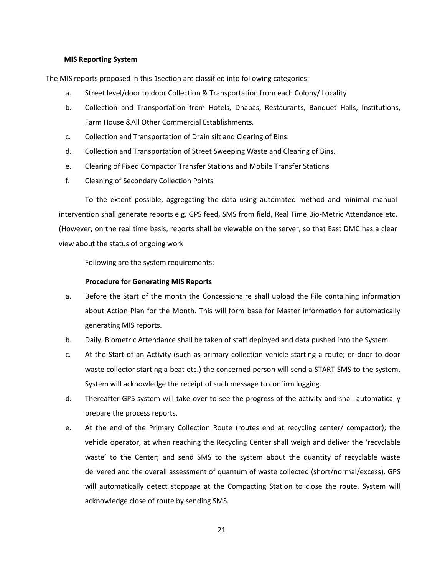#### **MIS Reporting System**

The MIS reports proposed in this 1section are classified into following categories:

- a. Street level/door to door Collection & Transportation from each Colony/ Locality
- b. Collection and Transportation from Hotels, Dhabas, Restaurants, Banquet Halls, Institutions, Farm House &All Other Commercial Establishments.
- c. Collection and Transportation of Drain silt and Clearing of Bins.
- d. Collection and Transportation of Street Sweeping Waste and Clearing of Bins.
- e. Clearing of Fixed Compactor Transfer Stations and Mobile Transfer Stations
- f. Cleaning of Secondary Collection Points

To the extent possible, aggregating the data using automated method and minimal manual intervention shall generate reports e.g. GPS feed, SMS from field, Real Time Bio-Metric Attendance etc. (However, on the real time basis, reports shall be viewable on the server, so that East DMC has a clear view about the status of ongoing work

Following are the system requirements:

#### **Procedure for Generating MIS Reports**

- a. Before the Start of the month the Concessionaire shall upload the File containing information about Action Plan for the Month. This will form base for Master information for automatically generating MIS reports.
- b. Daily, Biometric Attendance shall be taken of staff deployed and data pushed into the System.
- c. At the Start of an Activity (such as primary collection vehicle starting a route; or door to door waste collector starting a beat etc.) the concerned person will send a START SMS to the system. System will acknowledge the receipt of such message to confirm logging.
- d. Thereafter GPS system will take-over to see the progress of the activity and shall automatically prepare the process reports.
- e. At the end of the Primary Collection Route (routes end at recycling center/ compactor); the vehicle operator, at when reaching the Recycling Center shall weigh and deliver the 'recyclable waste' to the Center; and send SMS to the system about the quantity of recyclable waste delivered and the overall assessment of quantum of waste collected (short/normal/excess). GPS will automatically detect stoppage at the Compacting Station to close the route. System will acknowledge close of route by sending SMS.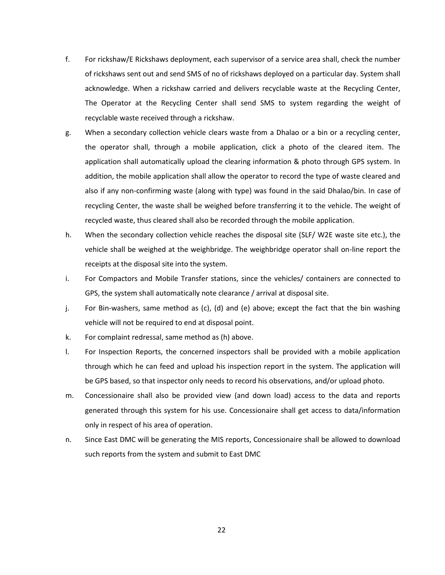- f. For rickshaw/E Rickshaws deployment, each supervisor of a service area shall, check the number of rickshaws sent out and send SMS of no of rickshaws deployed on a particular day. System shall acknowledge. When a rickshaw carried and delivers recyclable waste at the Recycling Center, The Operator at the Recycling Center shall send SMS to system regarding the weight of recyclable waste received through a rickshaw.
- g. When a secondary collection vehicle clears waste from a Dhalao or a bin or a recycling center, the operator shall, through a mobile application, click a photo of the cleared item. The application shall automatically upload the clearing information & photo through GPS system. In addition, the mobile application shall allow the operator to record the type of waste cleared and also if any non-confirming waste (along with type) was found in the said Dhalao/bin. In case of recycling Center, the waste shall be weighed before transferring it to the vehicle. The weight of recycled waste, thus cleared shall also be recorded through the mobile application.
- h. When the secondary collection vehicle reaches the disposal site (SLF/ W2E waste site etc.), the vehicle shall be weighed at the weighbridge. The weighbridge operator shall on-line report the receipts at the disposal site into the system.
- i. For Compactors and Mobile Transfer stations, since the vehicles/ containers are connected to GPS, the system shall automatically note clearance / arrival at disposal site.
- j. For Bin-washers, same method as (c), (d) and (e) above; except the fact that the bin washing vehicle will not be required to end at disposal point.
- k. For complaint redressal, same method as (h) above.
- l. For Inspection Reports, the concerned inspectors shall be provided with a mobile application through which he can feed and upload his inspection report in the system. The application will be GPS based, so that inspector only needs to record his observations, and/or upload photo.
- m. Concessionaire shall also be provided view (and down load) access to the data and reports generated through this system for his use. Concessionaire shall get access to data/information only in respect of his area of operation.
- n. Since East DMC will be generating the MIS reports, Concessionaire shall be allowed to download such reports from the system and submit to East DMC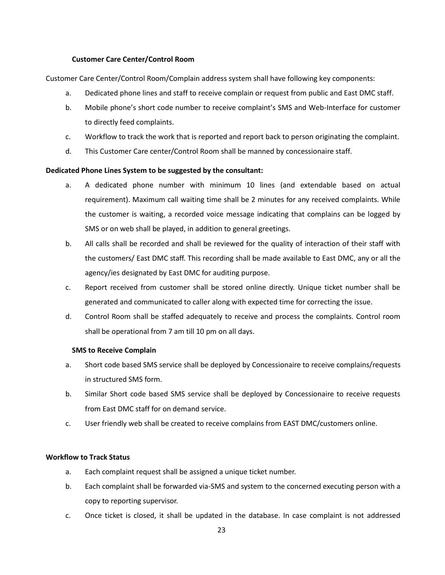#### **Customer Care Center/Control Room**

Customer Care Center/Control Room/Complain address system shall have following key components:

- a. Dedicated phone lines and staff to receive complain or request from public and East DMC staff.
- b. Mobile phone's short code number to receive complaint's SMS and Web-Interface for customer to directly feed complaints.
- c. Workflow to track the work that is reported and report back to person originating the complaint.
- d. This Customer Care center/Control Room shall be manned by concessionaire staff.

#### **Dedicated Phone Lines System to be suggested by the consultant:**

- a. A dedicated phone number with minimum 10 lines (and extendable based on actual requirement). Maximum call waiting time shall be 2 minutes for any received complaints. While the customer is waiting, a recorded voice message indicating that complains can be logged by SMS or on web shall be played, in addition to general greetings.
- b. All calls shall be recorded and shall be reviewed for the quality of interaction of their staff with the customers/ East DMC staff. This recording shall be made available to East DMC, any or all the agency/ies designated by East DMC for auditing purpose.
- c. Report received from customer shall be stored online directly. Unique ticket number shall be generated and communicated to caller along with expected time for correcting the issue.
- d. Control Room shall be staffed adequately to receive and process the complaints. Control room shall be operational from 7 am till 10 pm on all days.

#### **SMS to Receive Complain**

- a. Short code based SMS service shall be deployed by Concessionaire to receive complains/requests in structured SMS form.
- b. Similar Short code based SMS service shall be deployed by Concessionaire to receive requests from East DMC staff for on demand service.
- c. User friendly web shall be created to receive complains from EAST DMC/customers online.

#### **Workflow to Track Status**

- a. Each complaint request shall be assigned a unique ticket number.
- b. Each complaint shall be forwarded via-SMS and system to the concerned executing person with a copy to reporting supervisor.
- c. Once ticket is closed, it shall be updated in the database. In case complaint is not addressed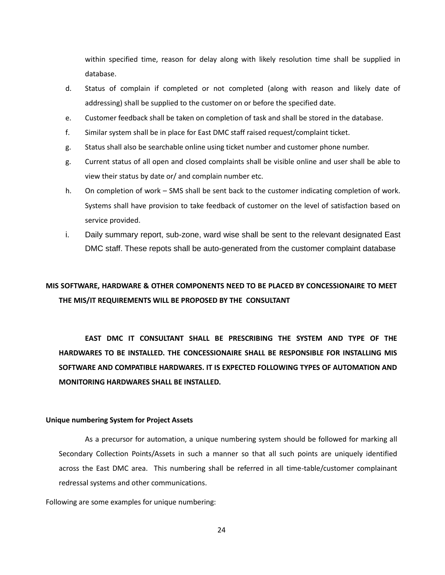within specified time, reason for delay along with likely resolution time shall be supplied in database.

- d. Status of complain if completed or not completed (along with reason and likely date of addressing) shall be supplied to the customer on or before the specified date.
- e. Customer feedback shall be taken on completion of task and shall be stored in the database.
- f. Similar system shall be in place for East DMC staff raised request/complaint ticket.
- g. Status shall also be searchable online using ticket number and customer phone number.
- g. Current status of all open and closed complaints shall be visible online and user shall be able to view their status by date or/ and complain number etc.
- h. On completion of work SMS shall be sent back to the customer indicating completion of work. Systems shall have provision to take feedback of customer on the level of satisfaction based on service provided.
- i. Daily summary report, sub-zone, ward wise shall be sent to the relevant designated East DMC staff. These repots shall be auto-generated from the customer complaint database

## **MIS SOFTWARE, HARDWARE & OTHER COMPONENTS NEED TO BE PLACED BY CONCESSIONAIRE TO MEET THE MIS/IT REQUIREMENTS WILL BE PROPOSED BY THE CONSULTANT**

**EAST DMC IT CONSULTANT SHALL BE PRESCRIBING THE SYSTEM AND TYPE OF THE HARDWARES TO BE INSTALLED. THE CONCESSIONAIRE SHALL BE RESPONSIBLE FOR INSTALLING MIS SOFTWARE AND COMPATIBLE HARDWARES. IT IS EXPECTED FOLLOWING TYPES OF AUTOMATION AND MONITORING HARDWARES SHALL BE INSTALLED.**

#### **Unique numbering System for Project Assets**

As a precursor for automation, a unique numbering system should be followed for marking all Secondary Collection Points/Assets in such a manner so that all such points are uniquely identified across the East DMC area. This numbering shall be referred in all time-table/customer complainant redressal systems and other communications.

Following are some examples for unique numbering: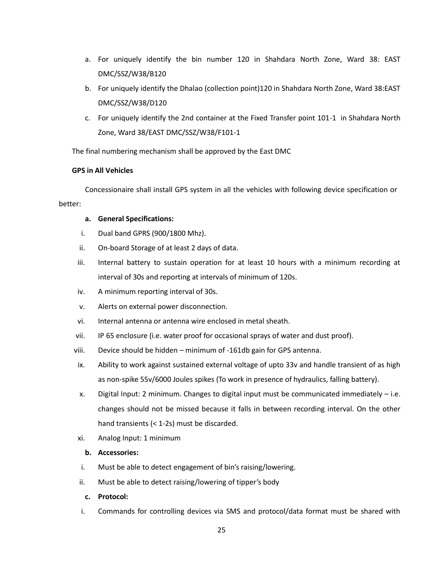- a. For uniquely identify the bin number 120 in Shahdara North Zone, Ward 38: EAST DMC/SSZ/W38/B120
- b. For uniquely identify the Dhalao (collection point)120 in Shahdara North Zone, Ward 38:EAST DMC/SSZ/W38/D120
- c. For uniquely identify the 2nd container at the Fixed Transfer point 101-1 in Shahdara North Zone, Ward 38/EAST DMC/SSZ/W38/F101-1

The final numbering mechanism shall be approved by the East DMC

#### **GPS in All Vehicles**

Concessionaire shall install GPS system in all the vehicles with following device specification or better:

#### **a. General Specifications:**

- i. Dual band GPRS (900/1800 Mhz).
- ii. On-board Storage of at least 2 days of data.
- iii. Internal battery to sustain operation for at least 10 hours with a minimum recording at interval of 30s and reporting at intervals of minimum of 120s.
- iv. A minimum reporting interval of 30s.
- v. Alerts on external power disconnection.
- vi. Internal antenna or antenna wire enclosed in metal sheath.
- vii. IP 65 enclosure (i.e. water proof for occasional sprays of water and dust proof).
- viii. Device should be hidden minimum of -161db gain for GPS antenna.
- ix. Ability to work against sustained external voltage of upto 33v and handle transient of as high as non-spike 55v/6000 Joules spikes (To work in presence of hydraulics, falling battery).
- x. Digital Input: 2 minimum. Changes to digital input must be communicated immediately i.e. changes should not be missed because it falls in between recording interval. On the other hand transients (< 1-2s) must be discarded.
- xi. Analog Input: 1 minimum

#### **b. Accessories:**

- i. Must be able to detect engagement of bin's raising/lowering.
- ii. Must be able to detect raising/lowering of tipper's body
	- **c. Protocol:**
- i. Commands for controlling devices via SMS and protocol/data format must be shared with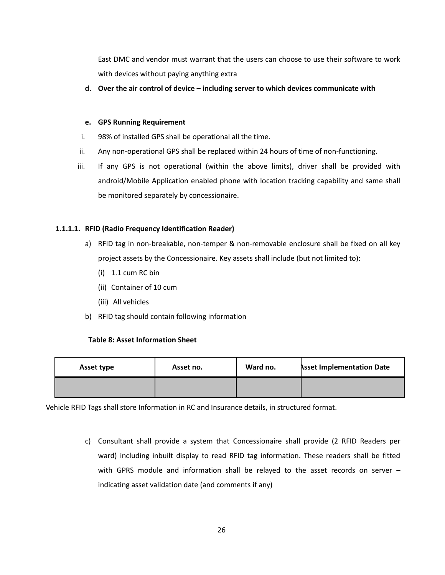East DMC and vendor must warrant that the users can choose to use their software to work with devices without paying anything extra

**d. Over the air control of device – including server to which devices communicate with**

#### **e. GPS Running Requirement**

- i. 98% of installed GPS shall be operational all the time.
- ii. Any non-operational GPS shall be replaced within 24 hours of time of non-functioning.
- iii. If any GPS is not operational (within the above limits), driver shall be provided with android/Mobile Application enabled phone with location tracking capability and same shall be monitored separately by concessionaire.

#### **1.1.1.1. RFID (Radio Frequency Identification Reader)**

- a) RFID tag in non-breakable, non-temper & non-removable enclosure shall be fixed on all key project assets by the Concessionaire. Key assets shall include (but not limited to):
	- (i) 1.1 cum RC bin
	- (ii) Container of 10 cum
	- (iii) All vehicles
- b) RFID tag should contain following information

#### **Table 8: Asset Information Sheet**

| Asset type | Asset no. | Ward no. | <b>Asset Implementation Date</b> |
|------------|-----------|----------|----------------------------------|
|            |           |          |                                  |

Vehicle RFID Tags shall store Information in RC and Insurance details, in structured format.

c) Consultant shall provide a system that Concessionaire shall provide (2 RFID Readers per ward) including inbuilt display to read RFID tag information. These readers shall be fitted with GPRS module and information shall be relayed to the asset records on server – indicating asset validation date (and comments if any)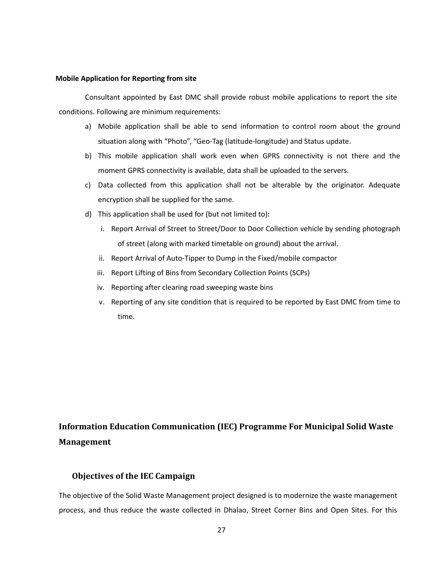#### **Mobile Application for Reporting from site**

Consultant appointed by East DMC shall provide robust mobile applications to report the site conditions. Following are minimum requirements:

- a) Mobile application shall be able to send information to control room about the ground situation along with "Photo", "Geo-Tag (latitude-longitude) and Status update.
- b) This mobile application shall work even when GPRS connectivity is not there and the moment GPRS connectivity is available, data shall be uploaded to the servers.
- c) Data collected from this application shall not be alterable by the originator. Adequate encryption shall be supplied for the same.
- d) This application shall be used for (but not limited to):
	- i. Report Arrival of Street to Street/Door to Door Collection vehicle by sending photograph of street (along with marked timetable on ground) about the arrival.
	- ii. Report Arrival of Auto-Tipper to Dump in the Fixed/mobile compactor
	- iii. Report Lifting of Bins from Secondary Collection Points (SCPs)
	- iv. Reporting after clearing road sweeping waste bins
	- v. Reporting of any site condition that is required to be reported by East DMC from time to time.

## **Information Education Communication (IEC) Programme For Municipal Solid Waste Management**

#### **Objectives of the IEC Campaign**

The objective of the Solid Waste Management project designed is to modernize the waste management process, and thus reduce the waste collected in Dhalao, Street Corner Bins and Open Sites. For this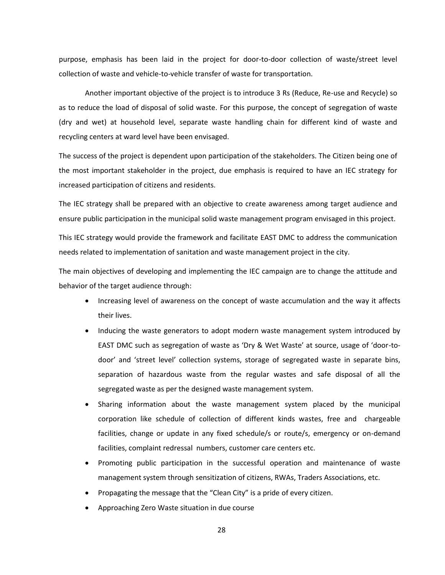purpose, emphasis has been laid in the project for door-to-door collection of waste/street level collection of waste and vehicle-to-vehicle transfer of waste for transportation.

Another important objective of the project is to introduce 3 Rs (Reduce, Re-use and Recycle) so as to reduce the load of disposal of solid waste. For this purpose, the concept of segregation of waste (dry and wet) at household level, separate waste handling chain for different kind of waste and recycling centers at ward level have been envisaged.

The success of the project is dependent upon participation of the stakeholders. The Citizen being one of the most important stakeholder in the project, due emphasis is required to have an IEC strategy for increased participation of citizens and residents.

The IEC strategy shall be prepared with an objective to create awareness among target audience and ensure public participation in the municipal solid waste management program envisaged in this project.

This IEC strategy would provide the framework and facilitate EAST DMC to address the communication needs related to implementation of sanitation and waste management project in the city.

The main objectives of developing and implementing the IEC campaign are to change the attitude and behavior of the target audience through:

- Increasing level of awareness on the concept of waste accumulation and the way it affects their lives.
- Inducing the waste generators to adopt modern waste management system introduced by EAST DMC such as segregation of waste as 'Dry & Wet Waste' at source, usage of 'door-todoor' and 'street level' collection systems, storage of segregated waste in separate bins, separation of hazardous waste from the regular wastes and safe disposal of all the segregated waste as per the designed waste management system.
- Sharing information about the waste management system placed by the municipal corporation like schedule of collection of different kinds wastes, free and chargeable facilities, change or update in any fixed schedule/s or route/s, emergency or on-demand facilities, complaint redressal numbers, customer care centers etc.
- Promoting public participation in the successful operation and maintenance of waste management system through sensitization of citizens, RWAs, Traders Associations, etc.
- Propagating the message that the "Clean City" is a pride of every citizen.
- Approaching Zero Waste situation in due course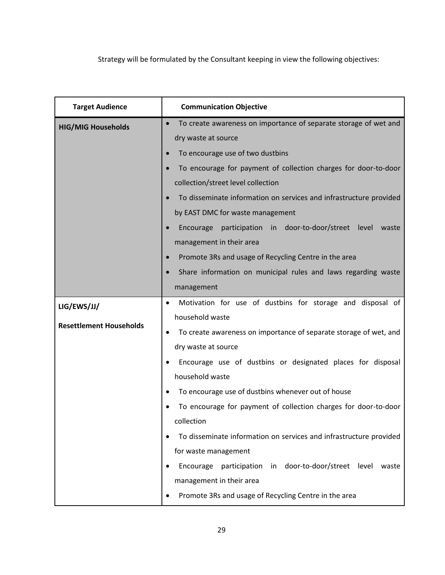Strategy will be formulated by the Consultant keeping in view the following objectives:

| <b>Target Audience</b>         | <b>Communication Objective</b>                                                |  |  |  |
|--------------------------------|-------------------------------------------------------------------------------|--|--|--|
| <b>HIG/MIG Households</b>      | To create awareness on importance of separate storage of wet and<br>$\bullet$ |  |  |  |
|                                | dry waste at source<br>To encourage use of two dustbins                       |  |  |  |
|                                |                                                                               |  |  |  |
|                                | To encourage for payment of collection charges for door-to-door<br>$\bullet$  |  |  |  |
|                                | collection/street level collection                                            |  |  |  |
|                                | To disseminate information on services and infrastructure provided            |  |  |  |
|                                | by EAST DMC for waste management                                              |  |  |  |
|                                | participation in door-to-door/street level<br>Encourage<br>waste              |  |  |  |
|                                | management in their area                                                      |  |  |  |
|                                | Promote 3Rs and usage of Recycling Centre in the area<br>$\bullet$            |  |  |  |
|                                | Share information on municipal rules and laws regarding waste                 |  |  |  |
|                                | management                                                                    |  |  |  |
| LIG/EWS/JJ/                    | Motivation for use of dustbins for storage and disposal of<br>$\bullet$       |  |  |  |
| <b>Resettlement Households</b> | household waste                                                               |  |  |  |
|                                | To create awareness on importance of separate storage of wet, and<br>٠        |  |  |  |
|                                | dry waste at source                                                           |  |  |  |
|                                | Encourage use of dustbins or designated places for disposal                   |  |  |  |
|                                | household waste                                                               |  |  |  |
|                                | To encourage use of dustbins whenever out of house                            |  |  |  |
|                                | To encourage for payment of collection charges for door-to-door               |  |  |  |
|                                | collection                                                                    |  |  |  |
|                                | To disseminate information on services and infrastructure provided            |  |  |  |
|                                | for waste management                                                          |  |  |  |
|                                | participation in door-to-door/street level<br>Encourage<br>waste              |  |  |  |
|                                | management in their area                                                      |  |  |  |
|                                | Promote 3Rs and usage of Recycling Centre in the area                         |  |  |  |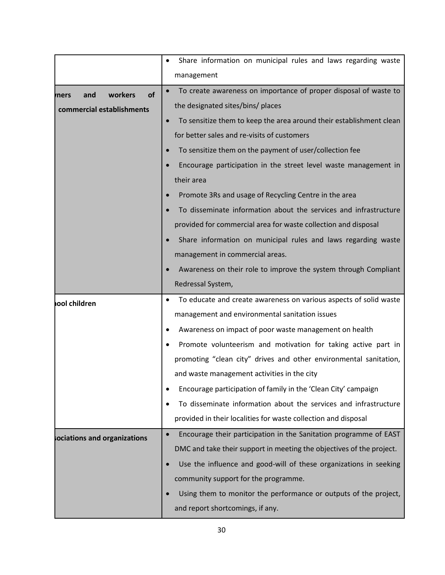|                              | Share information on municipal rules and laws regarding waste                  |  |  |
|------------------------------|--------------------------------------------------------------------------------|--|--|
|                              | management                                                                     |  |  |
| of<br>workers<br>and<br>mers | To create awareness on importance of proper disposal of waste to               |  |  |
| commercial establishments    | the designated sites/bins/ places                                              |  |  |
|                              | To sensitize them to keep the area around their establishment clean            |  |  |
|                              | for better sales and re-visits of customers                                    |  |  |
|                              | To sensitize them on the payment of user/collection fee<br>$\bullet$           |  |  |
|                              | Encourage participation in the street level waste management in                |  |  |
|                              | their area                                                                     |  |  |
|                              | Promote 3Rs and usage of Recycling Centre in the area                          |  |  |
|                              | To disseminate information about the services and infrastructure               |  |  |
|                              | provided for commercial area for waste collection and disposal                 |  |  |
|                              | Share information on municipal rules and laws regarding waste                  |  |  |
|                              | management in commercial areas.                                                |  |  |
|                              | Awareness on their role to improve the system through Compliant                |  |  |
|                              | Redressal System,                                                              |  |  |
| ool children                 | To educate and create awareness on various aspects of solid waste              |  |  |
|                              | management and environmental sanitation issues                                 |  |  |
|                              | Awareness on impact of poor waste management on health                         |  |  |
|                              | Promote volunteerism and motivation for taking active part in                  |  |  |
|                              | promoting "clean city" drives and other environmental sanitation,              |  |  |
|                              | and waste management activities in the city                                    |  |  |
|                              | Encourage participation of family in the 'Clean City' campaign                 |  |  |
|                              | To disseminate information about the services and infrastructure               |  |  |
|                              | provided in their localities for waste collection and disposal                 |  |  |
| ociations and organizations  | Encourage their participation in the Sanitation programme of EAST<br>$\bullet$ |  |  |
|                              | DMC and take their support in meeting the objectives of the project.           |  |  |
|                              | Use the influence and good-will of these organizations in seeking              |  |  |
|                              | community support for the programme.                                           |  |  |
|                              | Using them to monitor the performance or outputs of the project,               |  |  |
|                              | and report shortcomings, if any.                                               |  |  |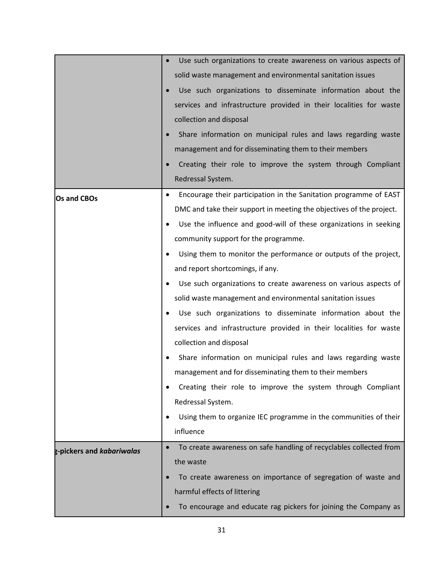|                           | Use such organizations to create awareness on various aspects of               |
|---------------------------|--------------------------------------------------------------------------------|
|                           | solid waste management and environmental sanitation issues                     |
|                           | Use such organizations to disseminate information about the                    |
|                           | services and infrastructure provided in their localities for waste             |
|                           | collection and disposal                                                        |
|                           | Share information on municipal rules and laws regarding waste                  |
|                           | management and for disseminating them to their members                         |
|                           | Creating their role to improve the system through Compliant                    |
|                           | Redressal System.                                                              |
| Os and CBOs               | Encourage their participation in the Sanitation programme of EAST<br>$\bullet$ |
|                           | DMC and take their support in meeting the objectives of the project.           |
|                           | Use the influence and good-will of these organizations in seeking              |
|                           | community support for the programme.                                           |
|                           | Using them to monitor the performance or outputs of the project,               |
|                           | and report shortcomings, if any.                                               |
|                           | Use such organizations to create awareness on various aspects of               |
|                           | solid waste management and environmental sanitation issues                     |
|                           | Use such organizations to disseminate information about the                    |
|                           | services and infrastructure provided in their localities for waste             |
|                           | collection and disposal                                                        |
|                           | Share information on municipal rules and laws regarding waste                  |
|                           | management and for disseminating them to their members                         |
|                           | Creating their role to improve the system through Compliant                    |
|                           | Redressal System.                                                              |
|                           | Using them to organize IEC programme in the communities of their               |
|                           | influence                                                                      |
| g-pickers and kabariwalas | To create awareness on safe handling of recyclables collected from             |
|                           | the waste                                                                      |
|                           | To create awareness on importance of segregation of waste and                  |
|                           | harmful effects of littering                                                   |
|                           | To encourage and educate rag pickers for joining the Company as                |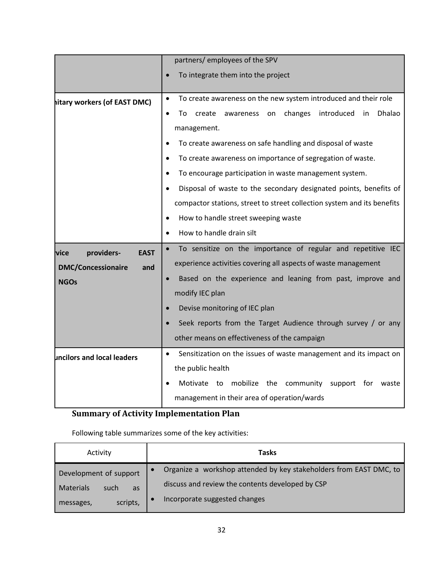|                                                                                       | partners/ employees of the SPV                                                                                                                                                                                                                                                                                                                                                                                                                                                                                                                                                                              |  |  |  |
|---------------------------------------------------------------------------------------|-------------------------------------------------------------------------------------------------------------------------------------------------------------------------------------------------------------------------------------------------------------------------------------------------------------------------------------------------------------------------------------------------------------------------------------------------------------------------------------------------------------------------------------------------------------------------------------------------------------|--|--|--|
|                                                                                       | To integrate them into the project                                                                                                                                                                                                                                                                                                                                                                                                                                                                                                                                                                          |  |  |  |
| hitary workers (of EAST DMC)                                                          | To create awareness on the new system introduced and their role<br>$\bullet$<br>changes<br>introduced<br>Dhalao<br>create<br>in.<br>To<br>awareness<br>on<br>management.<br>To create awareness on safe handling and disposal of waste<br>$\bullet$<br>To create awareness on importance of segregation of waste.<br>$\bullet$<br>To encourage participation in waste management system.<br>Disposal of waste to the secondary designated points, benefits of<br>compactor stations, street to street collection system and its benefits<br>How to handle street sweeping waste<br>How to handle drain silt |  |  |  |
| providers-<br><b>EAST</b><br>lvice<br><b>DMC/Concessionaire</b><br>and<br><b>NGOs</b> | To sensitize on the importance of regular and repetitive IEC<br>experience activities covering all aspects of waste management<br>Based on the experience and leaning from past, improve and<br>modify IEC plan<br>Devise monitoring of IEC plan<br>Seek reports from the Target Audience through survey / or any<br>other means on effectiveness of the campaign                                                                                                                                                                                                                                           |  |  |  |
| uncilors and local leaders                                                            | Sensitization on the issues of waste management and its impact on<br>$\bullet$<br>the public health<br>Motivate to mobilize the community support for<br>waste<br>management in their area of operation/wards                                                                                                                                                                                                                                                                                                                                                                                               |  |  |  |

## **Summary of Activity Implementation Plan**

Following table summarizes some of the key activities:

| Activity                | Tasks                                                              |
|-------------------------|--------------------------------------------------------------------|
| Development of support  | Organize a workshop attended by key stakeholders from EAST DMC, to |
| Materials<br>such<br>as | discuss and review the contents developed by CSP                   |
| scripts,<br>messages,   | Incorporate suggested changes                                      |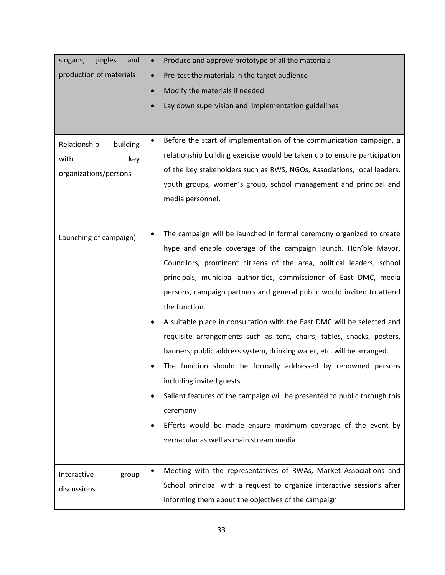| slogans,<br>jingles<br>and                                       | Produce and approve prototype of all the materials                                                                                                                                                                                                                                                                                                                                                                                                                                                                                                                                                                                                                                                                                                                                                                                        |  |
|------------------------------------------------------------------|-------------------------------------------------------------------------------------------------------------------------------------------------------------------------------------------------------------------------------------------------------------------------------------------------------------------------------------------------------------------------------------------------------------------------------------------------------------------------------------------------------------------------------------------------------------------------------------------------------------------------------------------------------------------------------------------------------------------------------------------------------------------------------------------------------------------------------------------|--|
| production of materials                                          | Pre-test the materials in the target audience                                                                                                                                                                                                                                                                                                                                                                                                                                                                                                                                                                                                                                                                                                                                                                                             |  |
|                                                                  | Modify the materials if needed<br>$\bullet$                                                                                                                                                                                                                                                                                                                                                                                                                                                                                                                                                                                                                                                                                                                                                                                               |  |
|                                                                  | Lay down supervision and Implementation guidelines<br>$\bullet$                                                                                                                                                                                                                                                                                                                                                                                                                                                                                                                                                                                                                                                                                                                                                                           |  |
|                                                                  |                                                                                                                                                                                                                                                                                                                                                                                                                                                                                                                                                                                                                                                                                                                                                                                                                                           |  |
| Relationship<br>building<br>with<br>key<br>organizations/persons | Before the start of implementation of the communication campaign, a<br>$\bullet$<br>relationship building exercise would be taken up to ensure participation<br>of the key stakeholders such as RWS, NGOs, Associations, local leaders,<br>youth groups, women's group, school management and principal and<br>media personnel.                                                                                                                                                                                                                                                                                                                                                                                                                                                                                                           |  |
|                                                                  | The campaign will be launched in formal ceremony organized to create                                                                                                                                                                                                                                                                                                                                                                                                                                                                                                                                                                                                                                                                                                                                                                      |  |
| Launching of campaign)                                           | hype and enable coverage of the campaign launch. Hon'ble Mayor,<br>Councilors, prominent citizens of the area, political leaders, school<br>principals, municipal authorities, commissioner of East DMC, media<br>persons, campaign partners and general public would invited to attend<br>the function.<br>A suitable place in consultation with the East DMC will be selected and<br>requisite arrangements such as tent, chairs, tables, snacks, posters,<br>banners; public address system, drinking water, etc. will be arranged.<br>The function should be formally addressed by renowned persons<br>including invited guests.<br>Salient features of the campaign will be presented to public through this<br>ceremony<br>Efforts would be made ensure maximum coverage of the event by<br>vernacular as well as main stream media |  |
| Interactive<br>group<br>discussions                              | Meeting with the representatives of RWAs, Market Associations and<br>$\bullet$<br>School principal with a request to organize interactive sessions after<br>informing them about the objectives of the campaign.                                                                                                                                                                                                                                                                                                                                                                                                                                                                                                                                                                                                                          |  |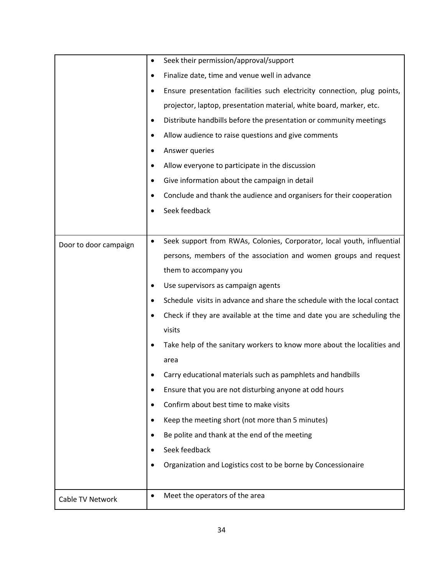|                       | $\bullet$ | Seek their permission/approval/support                                   |
|-----------------------|-----------|--------------------------------------------------------------------------|
|                       |           | Finalize date, time and venue well in advance                            |
|                       |           | Ensure presentation facilities such electricity connection, plug points, |
|                       |           | projector, laptop, presentation material, white board, marker, etc.      |
|                       |           | Distribute handbills before the presentation or community meetings       |
|                       |           | Allow audience to raise questions and give comments                      |
|                       |           | Answer queries                                                           |
|                       |           | Allow everyone to participate in the discussion                          |
|                       |           | Give information about the campaign in detail                            |
|                       |           | Conclude and thank the audience and organisers for their cooperation     |
|                       |           | Seek feedback                                                            |
|                       |           |                                                                          |
| Door to door campaign | $\bullet$ | Seek support from RWAs, Colonies, Corporator, local youth, influential   |
|                       |           | persons, members of the association and women groups and request         |
|                       |           | them to accompany you                                                    |
|                       | ٠         | Use supervisors as campaign agents                                       |
|                       | $\bullet$ | Schedule visits in advance and share the schedule with the local contact |
|                       |           | Check if they are available at the time and date you are scheduling the  |
|                       |           | visits                                                                   |
|                       |           | Take help of the sanitary workers to know more about the localities and  |
|                       |           | area                                                                     |
|                       |           | Carry educational materials such as pamphlets and handbills              |
|                       | ٠         | Ensure that you are not disturbing anyone at odd hours                   |
|                       | $\bullet$ | Confirm about best time to make visits                                   |
|                       |           | Keep the meeting short (not more than 5 minutes)                         |
|                       |           | Be polite and thank at the end of the meeting                            |
|                       |           | Seek feedback                                                            |
|                       |           | Organization and Logistics cost to be borne by Concessionaire            |
|                       |           |                                                                          |
| Cable TV Network      | $\bullet$ | Meet the operators of the area                                           |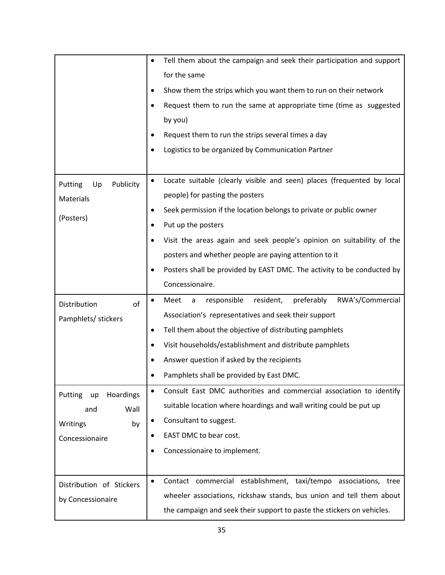|                            | Tell them about the campaign and seek their participation and support               |
|----------------------------|-------------------------------------------------------------------------------------|
|                            | for the same                                                                        |
|                            | Show them the strips which you want them to run on their network                    |
|                            | Request them to run the same at appropriate time (time as suggested                 |
|                            | by you)                                                                             |
|                            | Request them to run the strips several times a day                                  |
|                            | Logistics to be organized by Communication Partner                                  |
|                            |                                                                                     |
| Publicity<br>Putting<br>Up | Locate suitable (clearly visible and seen) places (frequented by local              |
| Materials                  | people) for pasting the posters                                                     |
|                            | Seek permission if the location belongs to private or public owner                  |
| (Posters)                  | Put up the posters                                                                  |
|                            | Visit the areas again and seek people's opinion on suitability of the               |
|                            | posters and whether people are paying attention to it                               |
|                            | Posters shall be provided by EAST DMC. The activity to be conducted by<br>$\bullet$ |
|                            | Concessionaire.                                                                     |
| of<br>Distribution         | RWA's/Commercial<br>resident,<br>preferably<br>Meet<br>responsible<br>$\mathsf a$   |
| Pamphlets/ stickers        | Association's representatives and seek their support                                |
|                            | Tell them about the objective of distributing pamphlets                             |
|                            | Visit households/establishment and distribute pamphlets<br>$\bullet$                |
|                            | Answer question if asked by the recipients                                          |
|                            | Pamphlets shall be provided by East DMC.                                            |
| Putting<br>Hoardings<br>up | Consult East DMC authorities and commercial association to identify<br>$\bullet$    |
| Wall<br>and                | suitable location where hoardings and wall writing could be put up                  |
| Writings<br>by             | Consultant to suggest.                                                              |
| Concessionaire             | EAST DMC to bear cost.<br>$\bullet$                                                 |
|                            | Concessionaire to implement.<br>$\bullet$                                           |
|                            |                                                                                     |
| Distribution of Stickers   | Contact commercial establishment, taxi/tempo associations, tree<br>$\bullet$        |
| by Concessionaire          | wheeler associations, rickshaw stands, bus union and tell them about                |
|                            | the campaign and seek their support to paste the stickers on vehicles.              |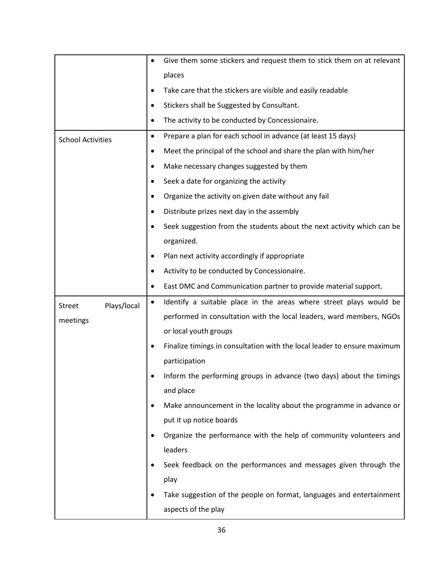|                              |           | Give them some stickers and request them to stick them on at relevant    |
|------------------------------|-----------|--------------------------------------------------------------------------|
|                              |           | places                                                                   |
|                              |           | Take care that the stickers are visible and easily readable              |
|                              |           | Stickers shall be Suggested by Consultant.                               |
|                              | ٠         | The activity to be conducted by Concessionaire.                          |
| <b>School Activities</b>     | $\bullet$ | Prepare a plan for each school in advance (at least 15 days)             |
|                              | ٠         | Meet the principal of the school and share the plan with him/her         |
|                              | $\bullet$ | Make necessary changes suggested by them                                 |
|                              | $\bullet$ | Seek a date for organizing the activity                                  |
|                              | $\bullet$ | Organize the activity on given date without any fail                     |
|                              |           | Distribute prizes next day in the assembly                               |
|                              |           | Seek suggestion from the students about the next activity which can be   |
|                              |           | organized.                                                               |
|                              |           | Plan next activity accordingly if appropriate                            |
|                              |           | Activity to be conducted by Concessionaire.                              |
|                              |           | East DMC and Communication partner to provide material support.          |
| Plays/local<br><b>Street</b> |           | Identify a suitable place in the areas where street plays would be       |
| meetings                     |           | performed in consultation with the local leaders, ward members, NGOs     |
|                              |           | or local youth groups                                                    |
|                              |           | Finalize timings in consultation with the local leader to ensure maximum |
|                              |           | participation                                                            |
|                              |           | Inform the performing groups in advance (two days) about the timings     |
|                              |           | and place                                                                |
|                              |           | Make announcement in the locality about the programme in advance or      |
|                              |           | put it up notice boards                                                  |
|                              |           | Organize the performance with the help of community volunteers and       |
|                              |           | leaders                                                                  |
|                              |           | Seek feedback on the performances and messages given through the         |
|                              |           | play                                                                     |
|                              |           | Take suggestion of the people on format, languages and entertainment     |
|                              |           | aspects of the play                                                      |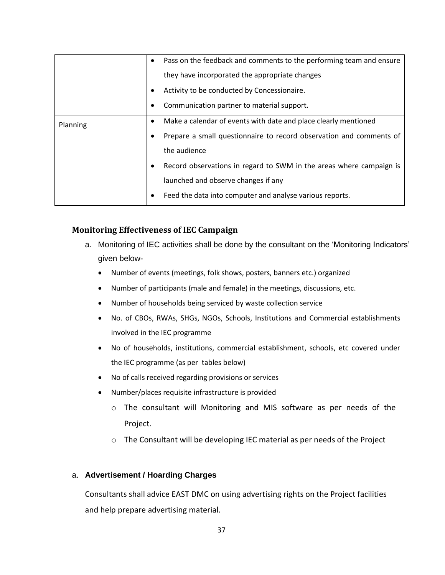|          | $\bullet$ | Pass on the feedback and comments to the performing team and ensure |  |  |
|----------|-----------|---------------------------------------------------------------------|--|--|
|          |           | they have incorporated the appropriate changes                      |  |  |
|          |           | Activity to be conducted by Concessionaire.                         |  |  |
|          |           | Communication partner to material support.                          |  |  |
| Planning |           | Make a calendar of events with date and place clearly mentioned     |  |  |
|          |           | Prepare a small questionnaire to record observation and comments of |  |  |
|          |           | the audience                                                        |  |  |
|          |           | Record observations in regard to SWM in the areas where campaign is |  |  |
|          |           | launched and observe changes if any                                 |  |  |
|          |           | Feed the data into computer and analyse various reports.            |  |  |

#### **Monitoring Effectiveness of IEC Campaign**

- a. Monitoring of IEC activities shall be done by the consultant on the 'Monitoring Indicators' given below-
	- Number of events (meetings, folk shows, posters, banners etc.) organized
	- Number of participants (male and female) in the meetings, discussions, etc.
	- Number of households being serviced by waste collection service
	- No. of CBOs, RWAs, SHGs, NGOs, Schools, Institutions and Commercial establishments involved in the IEC programme
	- No of households, institutions, commercial establishment, schools, etc covered under the IEC programme (as per tables below)
	- No of calls received regarding provisions or services
	- Number/places requisite infrastructure is provided
		- o The consultant will Monitoring and MIS software as per needs of the Project.
		- o The Consultant will be developing IEC material as per needs of the Project

#### a. **Advertisement / Hoarding Charges**

Consultants shall advice EAST DMC on using advertising rights on the Project facilities and help prepare advertising material.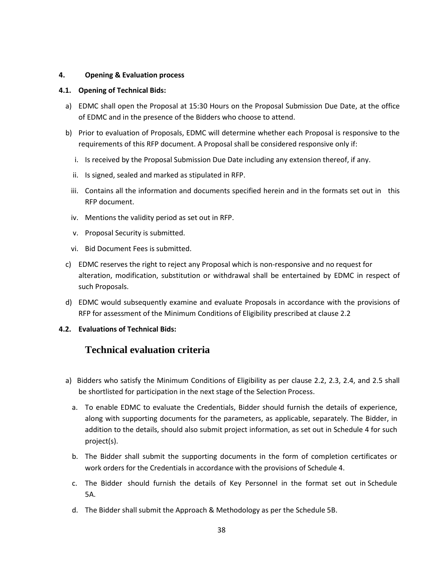#### <span id="page-45-0"></span>**4. Opening & Evaluation process**

#### <span id="page-45-1"></span>**4.1. Opening of Technical Bids:**

- a) EDMC shall open the Proposal at 15:30 Hours on the Proposal Submission Due Date, at the office of EDMC and in the presence of the Bidders who choose to attend.
- b) Prior to evaluation of Proposals, EDMC will determine whether each Proposal is responsive to the requirements of this RFP document. A Proposal shall be considered responsive only if:
	- i. Is received by the Proposal Submission Due Date including any extension thereof, if any.
	- ii. Is signed, sealed and marked as stipulated in RFP.
	- iii. Contains all the information and documents specified herein and in the formats set out in this RFP document.
	- iv. Mentions the validity period as set out in RFP.
	- v. Proposal Security is submitted.
	- vi. Bid Document Fees is submitted.
- c) EDMC reserves the right to reject any Proposal which is non-responsive and no request for alteration, modification, substitution or withdrawal shall be entertained by EDMC in respect of such Proposals.
- d) EDMC would subsequently examine and evaluate Proposals in accordance with the provisions of RFP for assessment of the Minimum Conditions of Eligibility prescribed at clause 2.2
- <span id="page-45-2"></span>**4.2. Evaluations of Technical Bids:**

## **Technical evaluation criteria**

- a) Bidders who satisfy the Minimum Conditions of Eligibility as per clause 2.2, 2.3, 2.4, and 2.5 shall be shortlisted for participation in the next stage of the Selection Process.
	- a. To enable EDMC to evaluate the Credentials, Bidder should furnish the details of experience, along with supporting documents for the parameters, as applicable, separately. The Bidder, in addition to the details, should also submit project information, as set out in Schedule 4 for such project(s).
	- b. The Bidder shall submit the supporting documents in the form of completion certificates or work orders for the Credentials in accordance with the provisions of Schedule 4.
	- c. The Bidder should furnish the details of Key Personnel in the format set out in Schedule 5A.
	- d. The Bidder shall submit the Approach & Methodology as per the Schedule 5B.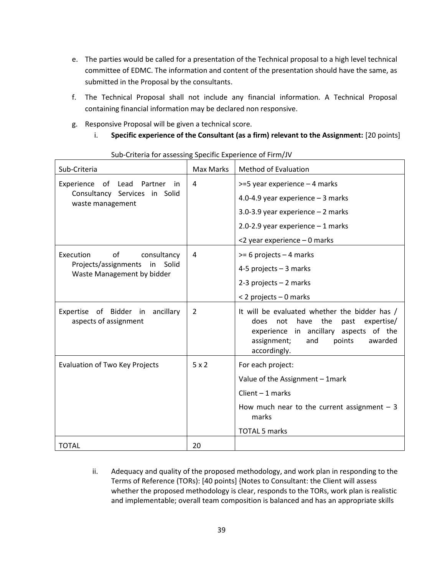- e. The parties would be called for a presentation of the Technical proposal to a high level technical committee of EDMC. The information and content of the presentation should have the same, as submitted in the Proposal by the consultants.
- f. The Technical Proposal shall not include any financial information. A Technical Proposal containing financial information may be declared non responsive.
- g. Responsive Proposal will be given a technical score.
	- i. Specific experience of the Consultant (as a firm) relevant to the Assignment: [20 points]

| Sub-Criteria                                                      | <b>Max Marks</b> | <b>Method of Evaluation</b>                                                                                                                                                                         |
|-------------------------------------------------------------------|------------------|-----------------------------------------------------------------------------------------------------------------------------------------------------------------------------------------------------|
| Experience<br>of<br>Lead<br>Partner<br>in                         | 4                | $>=$ 5 year experience – 4 marks                                                                                                                                                                    |
| Consultancy Services in Solid<br>waste management                 |                  | 4.0-4.9 year experience $-3$ marks                                                                                                                                                                  |
|                                                                   |                  | 3.0-3.9 year experience $-2$ marks                                                                                                                                                                  |
|                                                                   |                  | 2.0-2.9 year experience $-1$ marks                                                                                                                                                                  |
|                                                                   |                  | <2 year experience - 0 marks                                                                                                                                                                        |
| Execution<br>of<br>consultancy                                    | 4                | $>= 6$ projects $- 4$ marks                                                                                                                                                                         |
| Projects/assignments<br>in<br>Solid<br>Waste Management by bidder |                  | 4-5 projects $-3$ marks                                                                                                                                                                             |
|                                                                   |                  | 2-3 projects - 2 marks                                                                                                                                                                              |
|                                                                   |                  | < 2 projects - 0 marks                                                                                                                                                                              |
| Expertise of Bidder in<br>ancillary<br>aspects of assignment      | 2                | It will be evaluated whether the bidder has /<br>the<br>past expertise/<br>does<br>not<br>have<br>experience in ancillary aspects of the<br>assignment;<br>points<br>and<br>awarded<br>accordingly. |
| <b>Evaluation of Two Key Projects</b>                             | 5x2              | For each project:                                                                                                                                                                                   |
|                                                                   |                  | Value of the Assignment - 1 mark                                                                                                                                                                    |
|                                                                   |                  | Client $-1$ marks                                                                                                                                                                                   |
|                                                                   |                  | How much near to the current assignment $-3$<br>marks                                                                                                                                               |
|                                                                   |                  | <b>TOTAL 5 marks</b>                                                                                                                                                                                |
| <b>TOTAL</b>                                                      | 20               |                                                                                                                                                                                                     |

Sub-Criteria for assessing Specific Experience of Firm/JV

ii. Adequacy and quality of the proposed methodology, and work plan in responding to the Terms of Reference (TORs): [40 points] {Notes to Consultant: the Client will assess whether the proposed methodology is clear, responds to the TORs, work plan is realistic and implementable; overall team composition is balanced and has an appropriate skills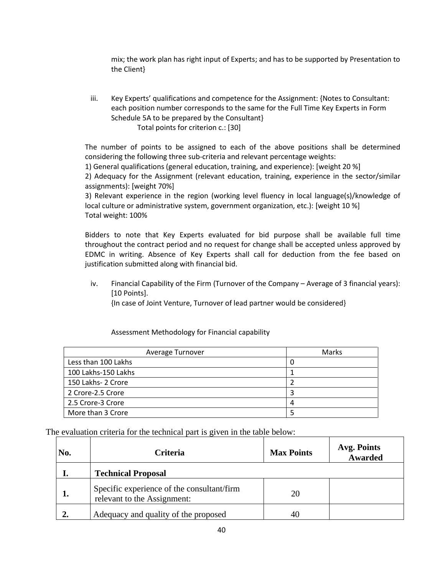mix; the work plan has right input of Experts; and has to be supported by Presentation to the Client}

iii. Key Experts' qualifications and competence for the Assignment: {Notes to Consultant: each position number corresponds to the same for the Full Time Key Experts in Form Schedule 5A to be prepared by the Consultant} Total points for criterion c.: [30]

The number of points to be assigned to each of the above positions shall be determined considering the following three sub-criteria and relevant percentage weights:

1) General qualifications (general education, training, and experience): [weight 20 %]

2) Adequacy for the Assignment (relevant education, training, experience in the sector/similar assignments): [weight 70%]

3) Relevant experience in the region (working level fluency in local language(s)/knowledge of local culture or administrative system, government organization, etc.): [weight 10 %] Total weight: 100%

Bidders to note that Key Experts evaluated for bid purpose shall be available full time throughout the contract period and no request for change shall be accepted unless approved by EDMC in writing. Absence of Key Experts shall call for deduction from the fee based on justification submitted along with financial bid.

iv. Financial Capability of the Firm (Turnover of the Company – Average of 3 financial years): [10 Points].

{In case of Joint Venture, Turnover of lead partner would be considered}

| Average Turnover    | Marks |
|---------------------|-------|
| Less than 100 Lakhs |       |
| 100 Lakhs-150 Lakhs |       |
| 150 Lakhs- 2 Crore  |       |
| 2 Crore-2.5 Crore   |       |
| 2.5 Crore-3 Crore   |       |
| More than 3 Crore   |       |

Assessment Methodology for Financial capability

The evaluation criteria for the technical part is given in the table below:

| No. | <b>Criteria</b>                                                           | <b>Max Points</b> | <b>Avg. Points</b><br><b>Awarded</b> |
|-----|---------------------------------------------------------------------------|-------------------|--------------------------------------|
|     | <b>Technical Proposal</b>                                                 |                   |                                      |
|     | Specific experience of the consultant/firm<br>relevant to the Assignment: | 20                |                                      |
|     | Adequacy and quality of the proposed                                      |                   |                                      |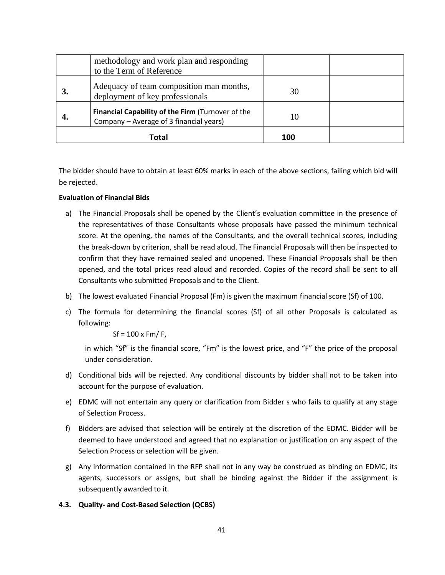|    | methodology and work plan and responding<br>to the Term of Reference                         |     |  |
|----|----------------------------------------------------------------------------------------------|-----|--|
|    | Adequacy of team composition man months,<br>deployment of key professionals                  | 30  |  |
| 4. | Financial Capability of the Firm (Turnover of the<br>Company - Average of 3 financial years) | 10  |  |
|    | Total                                                                                        | 100 |  |

The bidder should have to obtain at least 60% marks in each of the above sections, failing which bid will be rejected.

#### **Evaluation of Financial Bids**

- <span id="page-48-0"></span>a) The Financial Proposals shall be opened by the Client's evaluation committee in the presence of the representatives of those Consultants whose proposals have passed the minimum technical score. At the opening, the names of the Consultants, and the overall technical scores, including the break-down by criterion, shall be read aloud. The Financial Proposals will then be inspected to confirm that they have remained sealed and unopened. These Financial Proposals shall be then opened, and the total prices read aloud and recorded. Copies of the record shall be sent to all Consultants who submitted Proposals and to the Client.
- b) The lowest evaluated Financial Proposal (Fm) is given the maximum financial score (Sf) of 100.
- c) The formula for determining the financial scores (Sf) of all other Proposals is calculated as following:

 $Sf = 100 \times Fm / F$ ,

in which "Sf" is the financial score, "Fm" is the lowest price, and "F" the price of the proposal under consideration.

- d) Conditional bids will be rejected. Any conditional discounts by bidder shall not to be taken into account for the purpose of evaluation.
- e) EDMC will not entertain any query or clarification from Bidder s who fails to qualify at any stage of Selection Process.
- f) Bidders are advised that selection will be entirely at the discretion of the EDMC. Bidder will be deemed to have understood and agreed that no explanation or justification on any aspect of the Selection Process or selection will be given.
- g) Any information contained in the RFP shall not in any way be construed as binding on EDMC, its agents, successors or assigns, but shall be binding against the Bidder if the assignment is subsequently awarded to it.
- <span id="page-48-1"></span>**4.3. Quality- and Cost-Based Selection (QCBS)**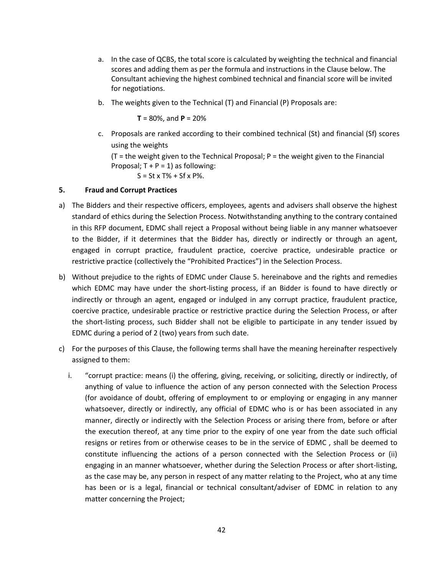- a. In the case of QCBS, the total score is calculated by weighting the technical and financial scores and adding them as per the formula and instructions in the Clause below. The Consultant achieving the highest combined technical and financial score will be invited for negotiations.
- b. The weights given to the Technical (T) and Financial (P) Proposals are:

 $T = 80\%$ , and  $P = 20\%$ 

c. Proposals are ranked according to their combined technical (St) and financial (Sf) scores using the weights

(T = the weight given to the Technical Proposal; P = the weight given to the Financial Proposal;  $T + P = 1$ ) as following:

 $S = St x T% + Sf x P%.$ 

#### <span id="page-49-0"></span>**5. Fraud and Corrupt Practices**

- a) The Bidders and their respective officers, employees, agents and advisers shall observe the highest standard of ethics during the Selection Process. Notwithstanding anything to the contrary contained in this RFP document, EDMC shall reject a Proposal without being liable in any manner whatsoever to the Bidder, if it determines that the Bidder has, directly or indirectly or through an agent, engaged in corrupt practice, fraudulent practice, coercive practice, undesirable practice or restrictive practice (collectively the "Prohibited Practices") in the Selection Process.
- b) Without prejudice to the rights of EDMC under Clause 5. hereinabove and the rights and remedies which EDMC may have under the short-listing process, if an Bidder is found to have directly or indirectly or through an agent, engaged or indulged in any corrupt practice, fraudulent practice, coercive practice, undesirable practice or restrictive practice during the Selection Process, or after the short-listing process, such Bidder shall not be eligible to participate in any tender issued by EDMC during a period of 2 (two) years from such date.
- c) For the purposes of this Clause, the following terms shall have the meaning hereinafter respectively assigned to them:
	- i. "corrupt practice: means (i) the offering, giving, receiving, or soliciting, directly or indirectly, of anything of value to influence the action of any person connected with the Selection Process (for avoidance of doubt, offering of employment to or employing or engaging in any manner whatsoever, directly or indirectly, any official of EDMC who is or has been associated in any manner, directly or indirectly with the Selection Process or arising there from, before or after the execution thereof, at any time prior to the expiry of one year from the date such official resigns or retires from or otherwise ceases to be in the service of EDMC , shall be deemed to constitute influencing the actions of a person connected with the Selection Process or (ii) engaging in an manner whatsoever, whether during the Selection Process or after short-listing, as the case may be, any person in respect of any matter relating to the Project, who at any time has been or is a legal, financial or technical consultant/adviser of EDMC in relation to any matter concerning the Project;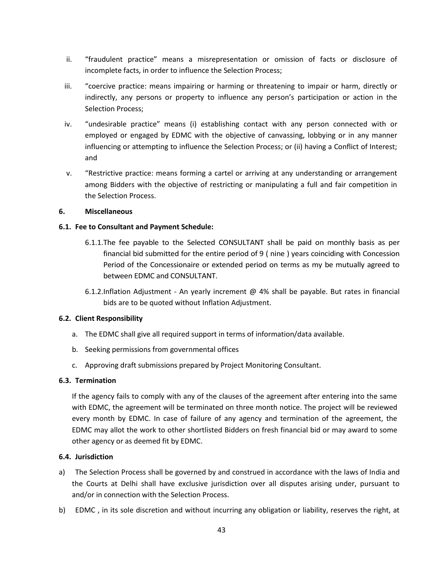- ii. "fraudulent practice" means a misrepresentation or omission of facts or disclosure of incomplete facts, in order to influence the Selection Process;
- iii. "coercive practice: means impairing or harming or threatening to impair or harm, directly or indirectly, any persons or property to influence any person's participation or action in the Selection Process;
- iv. "undesirable practice" means (i) establishing contact with any person connected with or employed or engaged by EDMC with the objective of canvassing, lobbying or in any manner influencing or attempting to influence the Selection Process; or (ii) having a Conflict of Interest; and
- v. "Restrictive practice: means forming a cartel or arriving at any understanding or arrangement among Bidders with the objective of restricting or manipulating a full and fair competition in the Selection Process.

#### <span id="page-50-0"></span>**6. Miscellaneous**

#### <span id="page-50-1"></span>**6.1. Fee to Consultant and Payment Schedule:**

- 6.1.1.The fee payable to the Selected CONSULTANT shall be paid on monthly basis as per financial bid submitted for the entire period of 9 ( nine ) years coinciding with Concession Period of the Concessionaire or extended period on terms as my be mutually agreed to between EDMC and CONSULTANT.
- 6.1.2.Inflation Adjustment An yearly increment @ 4% shall be payable. But rates in financial bids are to be quoted without Inflation Adjustment.

#### <span id="page-50-2"></span>**6.2. Client Responsibility**

- a. The EDMC shall give all required support in terms of information/data available.
- b. Seeking permissions from governmental offices
- c. Approving draft submissions prepared by Project Monitoring Consultant.

#### <span id="page-50-3"></span>**6.3. Termination**

If the agency fails to comply with any of the clauses of the agreement after entering into the same with EDMC, the agreement will be terminated on three month notice. The project will be reviewed every month by EDMC. In case of failure of any agency and termination of the agreement, the EDMC may allot the work to other shortlisted Bidders on fresh financial bid or may award to some other agency or as deemed fit by EDMC.

#### <span id="page-50-4"></span>**6.4. Jurisdiction**

- a) The Selection Process shall be governed by and construed in accordance with the laws of India and the Courts at Delhi shall have exclusive jurisdiction over all disputes arising under, pursuant to and/or in connection with the Selection Process.
- b) EDMC , in its sole discretion and without incurring any obligation or liability, reserves the right, at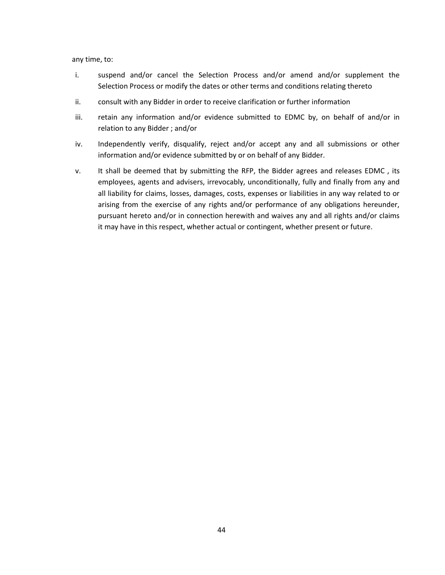any time, to:

- i. suspend and/or cancel the Selection Process and/or amend and/or supplement the Selection Process or modify the dates or other terms and conditions relating thereto
- ii. consult with any Bidder in order to receive clarification or further information
- iii. retain any information and/or evidence submitted to EDMC by, on behalf of and/or in relation to any Bidder ; and/or
- iv. Independently verify, disqualify, reject and/or accept any and all submissions or other information and/or evidence submitted by or on behalf of any Bidder.
- v. It shall be deemed that by submitting the RFP, the Bidder agrees and releases EDMC , its employees, agents and advisers, irrevocably, unconditionally, fully and finally from any and all liability for claims, losses, damages, costs, expenses or liabilities in any way related to or arising from the exercise of any rights and/or performance of any obligations hereunder, pursuant hereto and/or in connection herewith and waives any and all rights and/or claims it may have in this respect, whether actual or contingent, whether present or future.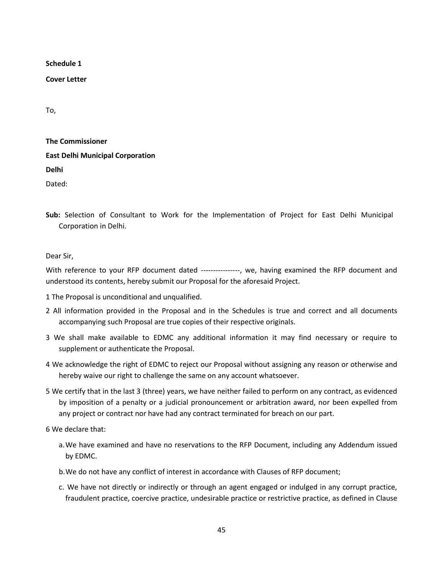<span id="page-52-0"></span>**Schedule 1**

<span id="page-52-1"></span>**Cover Letter**

To,

| <b>The Commissioner</b>                 |
|-----------------------------------------|
| <b>East Delhi Municipal Corporation</b> |
| Delhi                                   |
| Dated:                                  |

**Sub:** Selection of Consultant to Work for the Implementation of Project for East Delhi Municipal Corporation in Delhi.

Dear Sir,

With reference to your RFP document dated ---------------, we, having examined the RFP document and understood its contents, hereby submit our Proposal for the aforesaid Project.

- 1 The Proposal is unconditional and unqualified.
- 2 All information provided in the Proposal and in the Schedules is true and correct and all documents accompanying such Proposal are true copies of their respective originals.
- 3 We shall make available to EDMC any additional information it may find necessary or require to supplement or authenticate the Proposal.
- 4 We acknowledge the right of EDMC to reject our Proposal without assigning any reason or otherwise and hereby waive our right to challenge the same on any account whatsoever.
- 5 We certify that in the last 3 (three) years, we have neither failed to perform on any contract, as evidenced by imposition of a penalty or a judicial pronouncement or arbitration award, nor been expelled from any project or contract nor have had any contract terminated for breach on our part.

6 We declare that:

- a.We have examined and have no reservations to the RFP Document, including any Addendum issued by EDMC.
- b.We do not have any conflict of interest in accordance with Clauses of RFP document;
- c. We have not directly or indirectly or through an agent engaged or indulged in any corrupt practice, fraudulent practice, coercive practice, undesirable practice or restrictive practice, as defined in Clause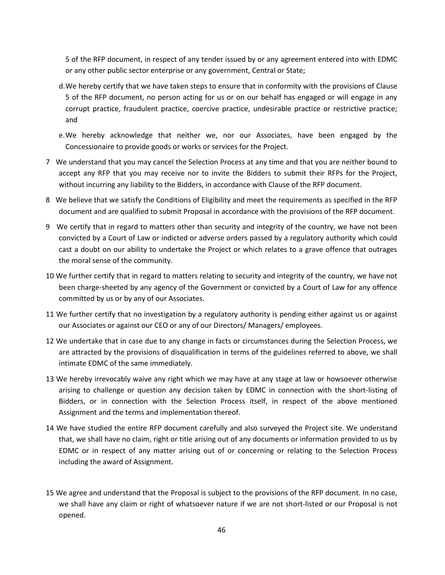5 of the RFP document, in respect of any tender issued by or any agreement entered into with EDMC or any other public sector enterprise or any government, Central or State;

- d.We hereby certify that we have taken steps to ensure that in conformity with the provisions of Clause 5 of the RFP document, no person acting for us or on our behalf has engaged or will engage in any corrupt practice, fraudulent practice, coercive practice, undesirable practice or restrictive practice; and
- e.We hereby acknowledge that neither we, nor our Associates, have been engaged by the Concessionaire to provide goods or works or services for the Project.
- 7 We understand that you may cancel the Selection Process at any time and that you are neither bound to accept any RFP that you may receive nor to invite the Bidders to submit their RFPs for the Project, without incurring any liability to the Bidders, in accordance with Clause of the RFP document.
- 8 We believe that we satisfy the Conditions of Eligibility and meet the requirements as specified in the RFP document and are qualified to submit Proposal in accordance with the provisions of the RFP document.
- 9 We certify that in regard to matters other than security and integrity of the country, we have not been convicted by a Court of Law or indicted or adverse orders passed by a regulatory authority which could cast a doubt on our ability to undertake the Project or which relates to a grave offence that outrages the moral sense of the community.
- 10 We further certify that in regard to matters relating to security and integrity of the country, we have not been charge-sheeted by any agency of the Government or convicted by a Court of Law for any offence committed by us or by any of our Associates.
- 11 We further certify that no investigation by a regulatory authority is pending either against us or against our Associates or against our CEO or any of our Directors/ Managers/ employees.
- 12 We undertake that in case due to any change in facts or circumstances during the Selection Process, we are attracted by the provisions of disqualification in terms of the guidelines referred to above, we shall intimate EDMC of the same immediately.
- 13 We hereby irrevocably waive any right which we may have at any stage at law or howsoever otherwise arising to challenge or question any decision taken by EDMC in connection with the short-listing of Bidders, or in connection with the Selection Process itself, in respect of the above mentioned Assignment and the terms and implementation thereof.
- 14 We have studied the entire RFP document carefully and also surveyed the Project site. We understand that, we shall have no claim, right or title arising out of any documents or information provided to us by EDMC or in respect of any matter arising out of or concerning or relating to the Selection Process including the award of Assignment.
- 15 We agree and understand that the Proposal is subject to the provisions of the RFP document. In no case, we shall have any claim or right of whatsoever nature if we are not short-listed or our Proposal is not opened.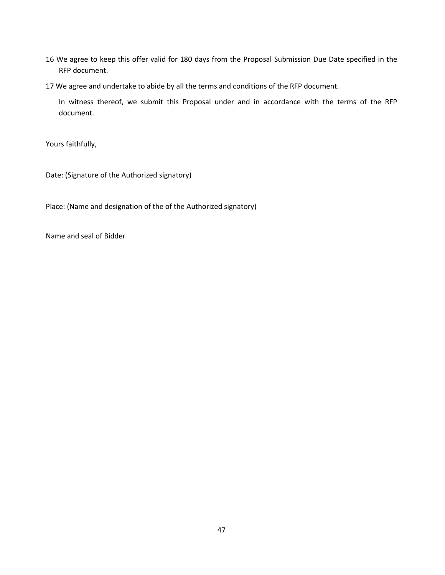- 16 We agree to keep this offer valid for 180 days from the Proposal Submission Due Date specified in the RFP document.
- 17 We agree and undertake to abide by all the terms and conditions of the RFP document.

In witness thereof, we submit this Proposal under and in accordance with the terms of the RFP document.

Yours faithfully,

Date: (Signature of the Authorized signatory)

Place: (Name and designation of the of the Authorized signatory)

Name and seal of Bidder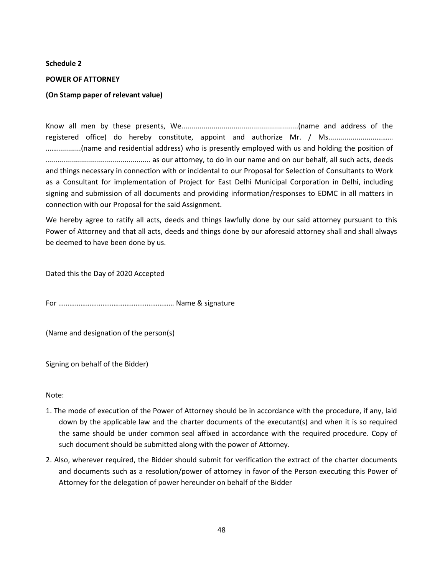#### <span id="page-55-0"></span>**Schedule 2**

#### <span id="page-55-1"></span>**POWER OF ATTORNEY**

#### **(On Stamp paper of relevant value)**

Know all men by these presents, We..........................................................(name and address of the registered office) do hereby constitute, appoint and authorize Mr. / Ms............................. ……............(name and residential address) who is presently employed with us and holding the position of .................................................... as our attorney, to do in our name and on our behalf, all such acts, deeds and things necessary in connection with or incidental to our Proposal for Selection of Consultants to Work as a Consultant for implementation of Project for East Delhi Municipal Corporation in Delhi, including signing and submission of all documents and providing information/responses to EDMC in all matters in connection with our Proposal for the said Assignment.

We hereby agree to ratify all acts, deeds and things lawfully done by our said attorney pursuant to this Power of Attorney and that all acts, deeds and things done by our aforesaid attorney shall and shall always be deemed to have been done by us.

Dated this the Day of 2020 Accepted

For ……………………………………………………… Name & signature

(Name and designation of the person(s)

Signing on behalf of the Bidder)

Note:

- 1. The mode of execution of the Power of Attorney should be in accordance with the procedure, if any, laid down by the applicable law and the charter documents of the executant(s) and when it is so required the same should be under common seal affixed in accordance with the required procedure. Copy of such document should be submitted along with the power of Attorney.
- 2. Also, wherever required, the Bidder should submit for verification the extract of the charter documents and documents such as a resolution/power of attorney in favor of the Person executing this Power of Attorney for the delegation of power hereunder on behalf of the Bidder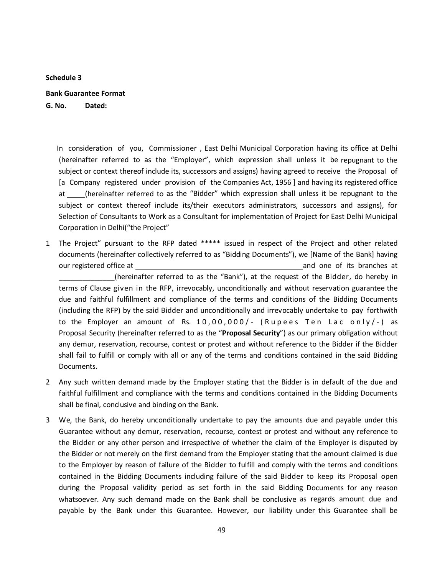<span id="page-56-0"></span>**Schedule 3**

<span id="page-56-1"></span>**Bank Guarantee Format**

**G. No. Dated:**

 In consideration of you, Commissioner , East Delhi Municipal Corporation having its office at Delhi (hereinafter referred to as the "Employer", which expression shall unless it be repugnant to the subject or context thereof include its, successors and assigns) having agreed to receive the Proposal of [a Company registered under provision of the Companies Act, 1956 ] and having its registered office at (hereinafter referred to as the "Bidder" which expression shall unless it be repugnant to the subject or context thereof include its/their executors administrators, successors and assigns), for Selection of Consultants to Work as a Consultant for implementation of Project for East Delhi Municipal Corporation in Delhi("the Project"

- 1 The Project" pursuant to the RFP dated \*\*\*\*\* issued in respect of the Project and other related documents (hereinafter collectively referred to as "Bidding Documents"), we [Name of the Bank] having our registered office at and one of its branches at \_\_\_\_\_\_\_\_\_\_\_\_\_\_(hereinafter referred to as the "Bank"), at the request of the Bidder, do hereby in terms of Clause given in the RFP, irrevocably, unconditionally and without reservation guarantee the due and faithful fulfillment and compliance of the terms and conditions of the Bidding Documents (including the RFP) by the said Bidder and unconditionally and irrevocably undertake to pay forthwith to the Employer an amount of Rs.  $10,00,000/$ - (Rupees Ten Lac only/-) as Proposal Security (hereinafter referred to as the "**Proposal Security**") as our primary obligation without any demur, reservation, recourse, contest or protest and without reference to the Bidder if the Bidder shall fail to fulfill or comply with all or any of the terms and conditions contained in the said Bidding Documents.
- 2 Any such written demand made by the Employer stating that the Bidder is in default of the due and faithful fulfillment and compliance with the terms and conditions contained in the Bidding Documents shall be final, conclusive and binding on the Bank.
- 3 We, the Bank, do hereby unconditionally undertake to pay the amounts due and payable under this Guarantee without any demur, reservation, recourse, contest or protest and without any reference to the Bidder or any other person and irrespective of whether the claim of the Employer is disputed by the Bidder or not merely on the first demand from the Employer stating that the amount claimed is due to the Employer by reason of failure of the Bidder to fulfill and comply with the terms and conditions contained in the Bidding Documents including failure of the said Bidder to keep its Proposal open during the Proposal validity period as set forth in the said Bidding Documents for any reason whatsoever. Any such demand made on the Bank shall be conclusive as regards amount due and payable by the Bank under this Guarantee. However, our liability under this Guarantee shall be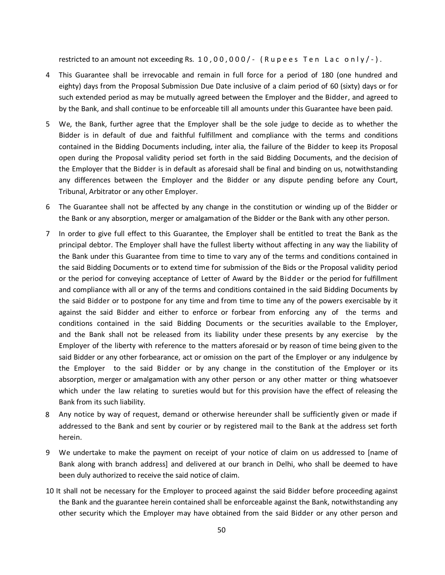restricted to an amount not exceeding Rs.  $10,00,000/$  - (Rupees Ten Lac only/-).

- 4 This Guarantee shall be irrevocable and remain in full force for a period of 180 (one hundred and eighty) days from the Proposal Submission Due Date inclusive of a claim period of 60 (sixty) days or for such extended period as may be mutually agreed between the Employer and the Bidder, and agreed to by the Bank, and shall continue to be enforceable till all amounts under this Guarantee have been paid.
- 5 We, the Bank, further agree that the Employer shall be the sole judge to decide as to whether the Bidder is in default of due and faithful fulfillment and compliance with the terms and conditions contained in the Bidding Documents including, inter alia, the failure of the Bidder to keep its Proposal open during the Proposal validity period set forth in the said Bidding Documents, and the decision of the Employer that the Bidder is in default as aforesaid shall be final and binding on us, notwithstanding any differences between the Employer and the Bidder or any dispute pending before any Court, Tribunal, Arbitrator or any other Employer.
- 6 The Guarantee shall not be affected by any change in the constitution or winding up of the Bidder or the Bank or any absorption, merger or amalgamation of the Bidder or the Bank with any other person.
- 7 In order to give full effect to this Guarantee, the Employer shall be entitled to treat the Bank as the principal debtor. The Employer shall have the fullest liberty without affecting in any way the liability of the Bank under this Guarantee from time to time to vary any of the terms and conditions contained in the said Bidding Documents or to extend time for submission of the Bids or the Proposal validity period or the period for conveying acceptance of Letter of Award by the Bidder or the period for fulfillment and compliance with all or any of the terms and conditions contained in the said Bidding Documents by the said Bidder or to postpone for any time and from time to time any of the powers exercisable by it against the said Bidder and either to enforce or forbear from enforcing any of the terms and conditions contained in the said Bidding Documents or the securities available to the Employer, and the Bank shall not be released from its liability under these presents by any exercise by the Employer of the liberty with reference to the matters aforesaid or by reason of time being given to the said Bidder or any other forbearance, act or omission on the part of the Employer or any indulgence by the Employer to the said Bidder or by any change in the constitution of the Employer or its absorption, merger or amalgamation with any other person or any other matter or thing whatsoever which under the law relating to sureties would but for this provision have the effect of releasing the Bank from its such liability.
- 8 Any notice by way of request, demand or otherwise hereunder shall be sufficiently given or made if addressed to the Bank and sent by courier or by registered mail to the Bank at the address set forth herein.
- 9 We undertake to make the payment on receipt of your notice of claim on us addressed to [name of Bank along with branch address] and delivered at our branch in Delhi, who shall be deemed to have been duly authorized to receive the said notice of claim.
- 10 It shall not be necessary for the Employer to proceed against the said Bidder before proceeding against the Bank and the guarantee herein contained shall be enforceable against the Bank, notwithstanding any other security which the Employer may have obtained from the said Bidder or any other person and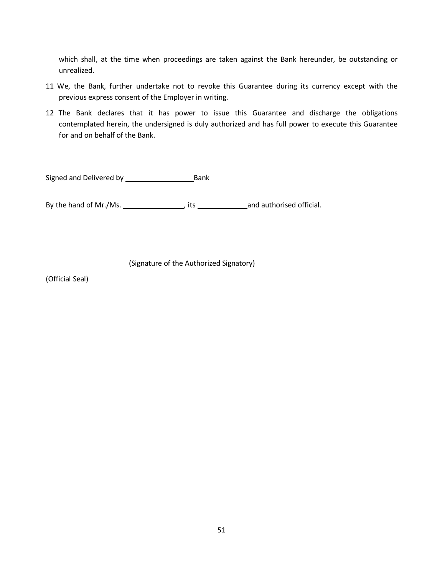which shall, at the time when proceedings are taken against the Bank hereunder, be outstanding or unrealized.

- 11 We, the Bank, further undertake not to revoke this Guarantee during its currency except with the previous express consent of the Employer in writing.
- 12 The Bank declares that it has power to issue this Guarantee and discharge the obligations contemplated herein, the undersigned is duly authorized and has full power to execute this Guarantee for and on behalf of the Bank.

Signed and Delivered by Bank

By the hand of Mr./Ms. 1997 (and authorised official.

(Signature of the Authorized Signatory)

(Official Seal)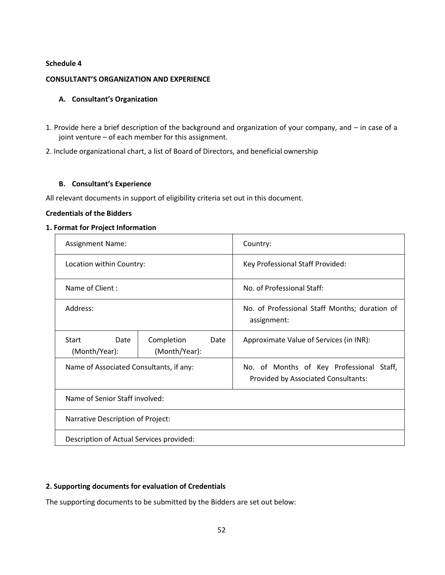#### <span id="page-59-0"></span>**Schedule 4**

#### <span id="page-59-1"></span>**CONSULTANT'S ORGANIZATION AND EXPERIENCE**

#### **A. Consultant's Organization**

1. Provide here a brief description of the background and organization of your company, and – in case of a joint venture – of each member for this assignment.

2. Include organizational chart, a list of Board of Directors, and beneficial ownership

#### **B. Consultant's Experience**

All relevant documents in support of eligibility criteria set out in this document.

#### **Credentials of the Bidders**

#### **1. Format for Project Information**

| <b>Assignment Name:</b>                  |                                     | Country:                                                                               |
|------------------------------------------|-------------------------------------|----------------------------------------------------------------------------------------|
| Location within Country:                 |                                     | Key Professional Staff Provided:                                                       |
| Name of Client:                          |                                     | No. of Professional Staff:                                                             |
| Address:                                 |                                     | No. of Professional Staff Months; duration of<br>assignment:                           |
| Start<br>Date<br>(Month/Year):           | Completion<br>Date<br>(Month/Year): | Approximate Value of Services (in INR):                                                |
| Name of Associated Consultants, if any:  |                                     | No. of Months of Key Professional Staff,<br><b>Provided by Associated Consultants:</b> |
| Name of Senior Staff involved:           |                                     |                                                                                        |
| Narrative Description of Project:        |                                     |                                                                                        |
| Description of Actual Services provided: |                                     |                                                                                        |

#### **2. Supporting documents for evaluation of Credentials**

The supporting documents to be submitted by the Bidders are set out below: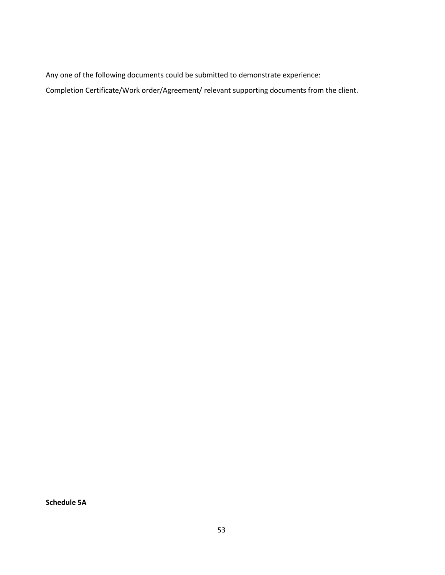Any one of the following documents could be submitted to demonstrate experience:

Completion Certificate/Work order/Agreement/ relevant supporting documents from the client.

<span id="page-60-0"></span>**Schedule 5A**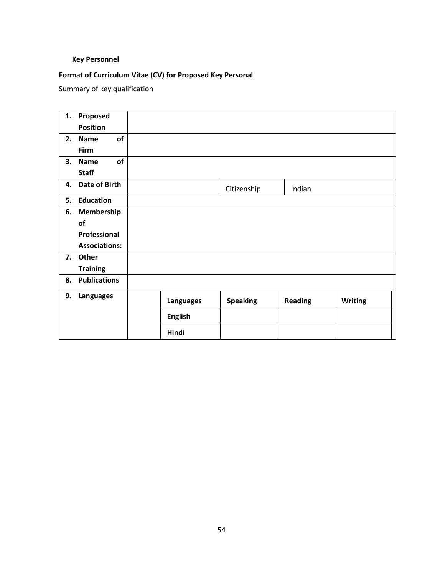#### <span id="page-61-0"></span>**Key Personnel**

## **Format of Curriculum Vitae (CV) for Proposed Key Personal**

Summary of key qualification

| 1. | Proposed             |                  |                 |                |                |
|----|----------------------|------------------|-----------------|----------------|----------------|
|    | <b>Position</b>      |                  |                 |                |                |
| 2. | of<br><b>Name</b>    |                  |                 |                |                |
|    | Firm                 |                  |                 |                |                |
| 3. | of<br><b>Name</b>    |                  |                 |                |                |
|    | <b>Staff</b>         |                  |                 |                |                |
| 4. | Date of Birth        |                  | Citizenship     | Indian         |                |
| 5. | <b>Education</b>     |                  |                 |                |                |
| 6. | Membership           |                  |                 |                |                |
|    | of                   |                  |                 |                |                |
|    | Professional         |                  |                 |                |                |
|    | <b>Associations:</b> |                  |                 |                |                |
|    | 7. Other             |                  |                 |                |                |
|    | <b>Training</b>      |                  |                 |                |                |
| 8. | <b>Publications</b>  |                  |                 |                |                |
| 9. | Languages            | <b>Languages</b> | <b>Speaking</b> | <b>Reading</b> | <b>Writing</b> |
|    |                      | <b>English</b>   |                 |                |                |
|    |                      | Hindi            |                 |                |                |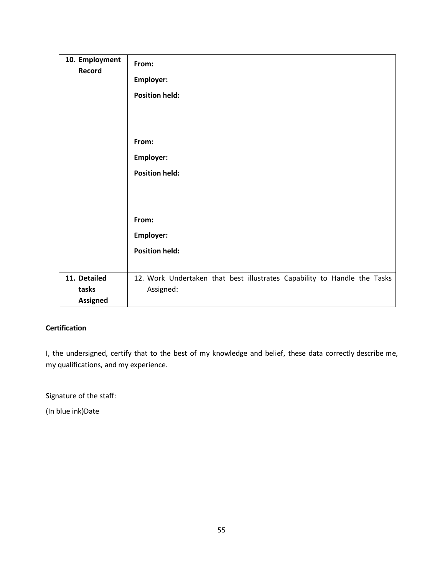| 10. Employment<br>Record                 | From:<br>Employer:<br><b>Position held:</b>                                           |
|------------------------------------------|---------------------------------------------------------------------------------------|
|                                          | From:<br>Employer:<br><b>Position held:</b>                                           |
|                                          |                                                                                       |
|                                          | From:<br><b>Employer:</b><br><b>Position held:</b>                                    |
| 11. Detailed<br>tasks<br><b>Assigned</b> | 12. Work Undertaken that best illustrates Capability to Handle the Tasks<br>Assigned: |

## **Certification**

I, the undersigned, certify that to the best of my knowledge and belief, these data correctly describe me, my qualifications, and my experience.

Signature of the staff:

(In blue ink)Date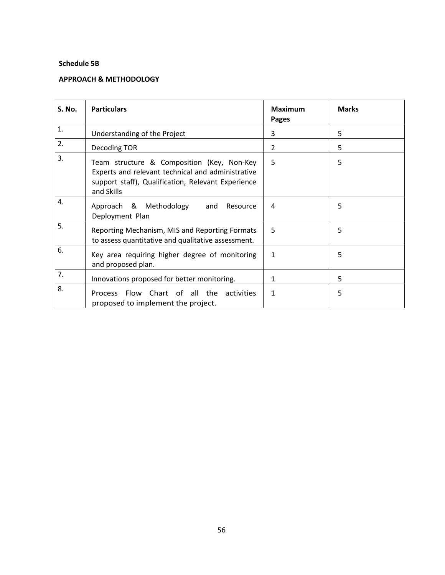#### <span id="page-63-0"></span>**Schedule 5B**

#### <span id="page-63-1"></span>**APPROACH & METHODOLOGY**

| <b>S. No.</b> | <b>Particulars</b>                                                                                                                                                  | <b>Maximum</b><br><b>Pages</b> | <b>Marks</b> |
|---------------|---------------------------------------------------------------------------------------------------------------------------------------------------------------------|--------------------------------|--------------|
| 1.            | Understanding of the Project                                                                                                                                        | 3                              | 5            |
| 2.            | Decoding TOR                                                                                                                                                        | $\overline{2}$                 | 5            |
| 3.            | Team structure & Composition (Key, Non-Key<br>Experts and relevant technical and administrative<br>support staff), Qualification, Relevant Experience<br>and Skills | 5                              | 5            |
| 4.            | Approach & Methodology and<br>Resource<br>Deployment Plan                                                                                                           | 4                              | 5            |
| 5.            | Reporting Mechanism, MIS and Reporting Formats<br>to assess quantitative and qualitative assessment.                                                                | 5                              | 5            |
| 6.            | Key area requiring higher degree of monitoring<br>and proposed plan.                                                                                                | 1                              | 5            |
| 7.            | Innovations proposed for better monitoring.                                                                                                                         | 1                              | 5            |
| 8.            | Process Flow Chart of all the activities<br>proposed to implement the project.                                                                                      | 1                              | 5            |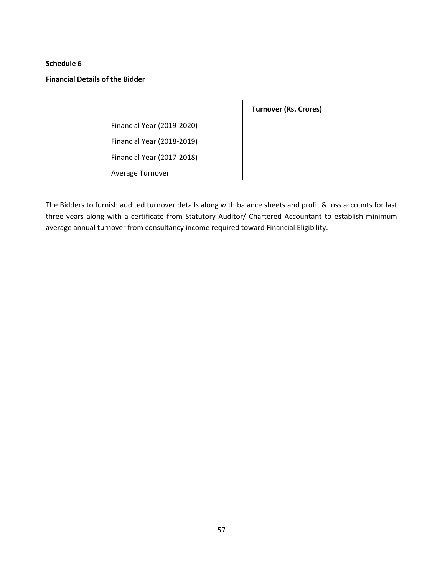#### <span id="page-64-0"></span>**Schedule 6**

#### <span id="page-64-1"></span>**Financial Details of the Bidder**

|                            | <b>Turnover (Rs. Crores)</b> |
|----------------------------|------------------------------|
| Financial Year (2019-2020) |                              |
| Financial Year (2018-2019) |                              |
| Financial Year (2017-2018) |                              |
| Average Turnover           |                              |

The Bidders to furnish audited turnover details along with balance sheets and profit & loss accounts for last three years along with a certificate from Statutory Auditor/ Chartered Accountant to establish minimum average annual turnover from consultancy income required toward Financial Eligibility.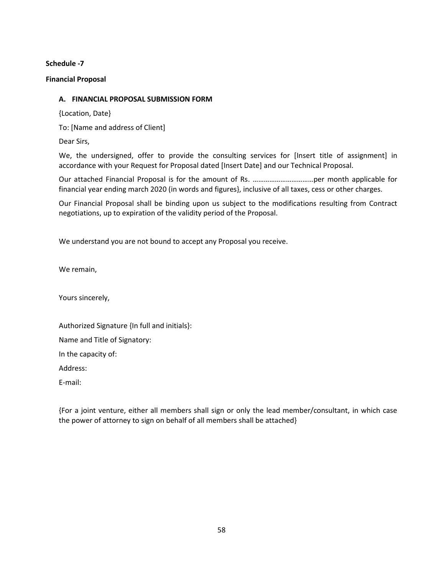#### <span id="page-65-0"></span>**Schedule -7**

#### <span id="page-65-1"></span>**Financial Proposal**

#### **A. FINANCIAL PROPOSAL SUBMISSION FORM**

{Location, Date}

To: [Name and address of Client]

Dear Sirs,

We, the undersigned, offer to provide the consulting services for [Insert title of assignment] in accordance with your Request for Proposal dated [Insert Date] and our Technical Proposal.

Our attached Financial Proposal is for the amount of Rs. ……………………………per month applicable for financial year ending march 2020 (in words and figures}, inclusive of all taxes, cess or other charges.

Our Financial Proposal shall be binding upon us subject to the modifications resulting from Contract negotiations, up to expiration of the validity period of the Proposal.

We understand you are not bound to accept any Proposal you receive.

We remain,

Yours sincerely,

Authorized Signature {In full and initials}:

Name and Title of Signatory:

In the capacity of:

Address:

E-mail:

{For a joint venture, either all members shall sign or only the lead member/consultant, in which case the power of attorney to sign on behalf of all members shall be attached}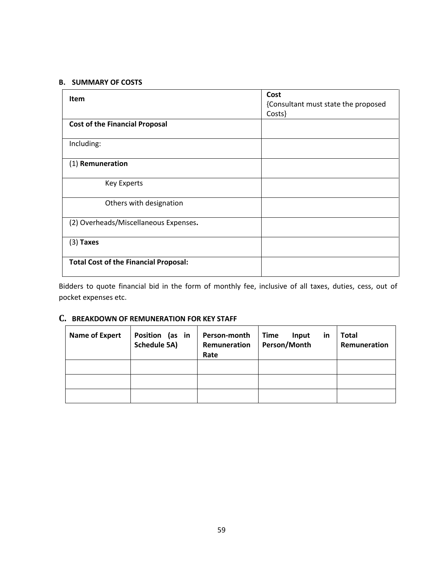#### **B. SUMMARY OF COSTS**

| <b>Item</b>                                  | Cost                                          |  |
|----------------------------------------------|-----------------------------------------------|--|
|                                              | {Consultant must state the proposed<br>Costs} |  |
| <b>Cost of the Financial Proposal</b>        |                                               |  |
| Including:                                   |                                               |  |
| (1) Remuneration                             |                                               |  |
| <b>Key Experts</b>                           |                                               |  |
| Others with designation                      |                                               |  |
| (2) Overheads/Miscellaneous Expenses.        |                                               |  |
| $(3)$ Taxes                                  |                                               |  |
| <b>Total Cost of the Financial Proposal:</b> |                                               |  |

Bidders to quote financial bid in the form of monthly fee, inclusive of all taxes, duties, cess, out of pocket expenses etc.

## **C. BREAKDOWN OF REMUNERATION FOR KEY STAFF**

| Name of Expert | Position (as in<br><b>Schedule 5A)</b> | Person-month<br>Remuneration<br>Rate | <b>Time</b><br>Input<br>in<br>Person/Month | <b>Total</b><br>Remuneration |
|----------------|----------------------------------------|--------------------------------------|--------------------------------------------|------------------------------|
|                |                                        |                                      |                                            |                              |
|                |                                        |                                      |                                            |                              |
|                |                                        |                                      |                                            |                              |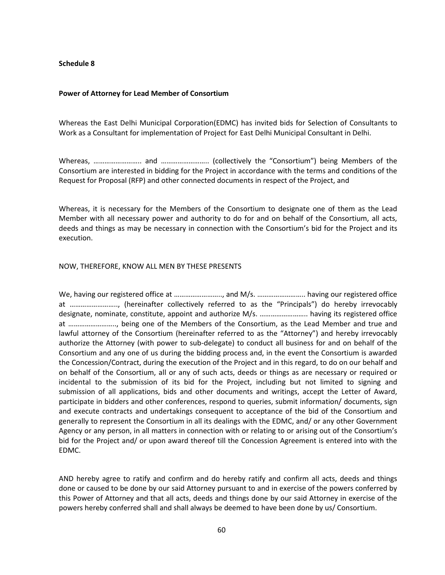#### <span id="page-67-0"></span>**Schedule 8**

#### <span id="page-67-1"></span>**Power of Attorney for Lead Member of Consortium**

Whereas the East Delhi Municipal Corporation(EDMC) has invited bids for Selection of Consultants to Work as a Consultant for implementation of Project for East Delhi Municipal Consultant in Delhi.

Whereas, …………………….. and …………………….. (collectively the "Consortium") being Members of the Consortium are interested in bidding for the Project in accordance with the terms and conditions of the Request for Proposal (RFP) and other connected documents in respect of the Project, and

Whereas, it is necessary for the Members of the Consortium to designate one of them as the Lead Member with all necessary power and authority to do for and on behalf of the Consortium, all acts, deeds and things as may be necessary in connection with the Consortium's bid for the Project and its execution.

#### NOW, THEREFORE, KNOW ALL MEN BY THESE PRESENTS

We, having our registered office at ............................. and M/s. .......................... having our registered office at …………………….., (hereinafter collectively referred to as the "Principals") do hereby irrevocably designate, nominate, constitute, appoint and authorize M/s. …………………….. having its registered office at …………………….., being one of the Members of the Consortium, as the Lead Member and true and lawful attorney of the Consortium (hereinafter referred to as the "Attorney") and hereby irrevocably authorize the Attorney (with power to sub-delegate) to conduct all business for and on behalf of the Consortium and any one of us during the bidding process and, in the event the Consortium is awarded the Concession/Contract, during the execution of the Project and in this regard, to do on our behalf and on behalf of the Consortium, all or any of such acts, deeds or things as are necessary or required or incidental to the submission of its bid for the Project, including but not limited to signing and submission of all applications, bids and other documents and writings, accept the Letter of Award, participate in bidders and other conferences, respond to queries, submit information/ documents, sign and execute contracts and undertakings consequent to acceptance of the bid of the Consortium and generally to represent the Consortium in all its dealings with the EDMC, and/ or any other Government Agency or any person, in all matters in connection with or relating to or arising out of the Consortium's bid for the Project and/ or upon award thereof till the Concession Agreement is entered into with the EDMC.

AND hereby agree to ratify and confirm and do hereby ratify and confirm all acts, deeds and things done or caused to be done by our said Attorney pursuant to and in exercise of the powers conferred by this Power of Attorney and that all acts, deeds and things done by our said Attorney in exercise of the powers hereby conferred shall and shall always be deemed to have been done by us/ Consortium.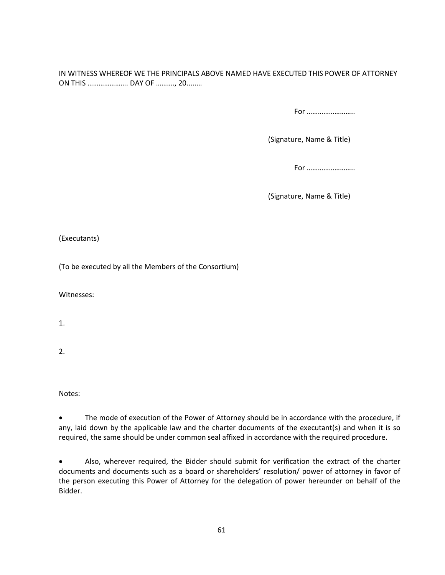IN WITNESS WHEREOF WE THE PRINCIPALS ABOVE NAMED HAVE EXECUTED THIS POWER OF ATTORNEY ON THIS …………………. DAY OF ………., 20.....…

For ……………………..

(Signature, Name & Title)

For ……………………..

(Signature, Name & Title)

(Executants)

(To be executed by all the Members of the Consortium)

Witnesses:

1.

2.

Notes:

• The mode of execution of the Power of Attorney should be in accordance with the procedure, if any, laid down by the applicable law and the charter documents of the executant(s) and when it is so required, the same should be under common seal affixed in accordance with the required procedure.

• Also, wherever required, the Bidder should submit for verification the extract of the charter documents and documents such as a board or shareholders' resolution/ power of attorney in favor of the person executing this Power of Attorney for the delegation of power hereunder on behalf of the Bidder.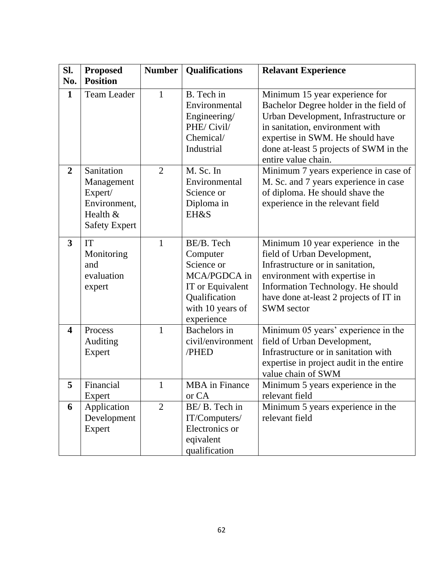| SI.                     | Proposed                                                                                | <b>Number</b>  | <b>Qualifications</b>                                                                                                       | <b>Relavant Experience</b>                                                                                                                                                                                                                               |
|-------------------------|-----------------------------------------------------------------------------------------|----------------|-----------------------------------------------------------------------------------------------------------------------------|----------------------------------------------------------------------------------------------------------------------------------------------------------------------------------------------------------------------------------------------------------|
| No.                     | <b>Position</b>                                                                         |                |                                                                                                                             |                                                                                                                                                                                                                                                          |
| $\mathbf{1}$            | <b>Team Leader</b>                                                                      | $\mathbf{1}$   | B. Tech in<br>Environmental<br>Engineering/<br>PHE/Civil/<br>Chemical/<br>Industrial                                        | Minimum 15 year experience for<br>Bachelor Degree holder in the field of<br>Urban Development, Infrastructure or<br>in sanitation, environment with<br>expertise in SWM. He should have<br>done at-least 5 projects of SWM in the<br>entire value chain. |
| $\overline{2}$          | Sanitation<br>Management<br>Expert/<br>Environment,<br>Health &<br><b>Safety Expert</b> | $\overline{2}$ | M. Sc. In<br>Environmental<br>Science or<br>Diploma in<br><b>EH&amp;S</b>                                                   | Minimum 7 years experience in case of<br>M. Sc. and 7 years experience in case<br>of diploma. He should shave the<br>experience in the relevant field                                                                                                    |
| $\mathbf{3}$            | IT<br>Monitoring<br>and<br>evaluation<br>expert                                         | $\mathbf{1}$   | BE/B. Tech<br>Computer<br>Science or<br>MCA/PGDCA in<br>IT or Equivalent<br>Qualification<br>with 10 years of<br>experience | Minimum 10 year experience in the<br>field of Urban Development,<br>Infrastructure or in sanitation,<br>environment with expertise in<br>Information Technology. He should<br>have done at-least 2 projects of IT in<br><b>SWM</b> sector                |
| $\overline{\mathbf{4}}$ | Process<br>Auditing<br>Expert                                                           | 1              | Bachelors in<br>civil/environment<br>/PHED                                                                                  | Minimum 05 years' experience in the<br>field of Urban Development,<br>Infrastructure or in sanitation with<br>expertise in project audit in the entire<br>value chain of SWM                                                                             |
| 5                       | Financial<br>Expert                                                                     | 1              | <b>MBA</b> in Finance<br>or CA                                                                                              | Minimum 5 years experience in the<br>relevant field                                                                                                                                                                                                      |
| 6                       | Application<br>Development<br>Expert                                                    | $\overline{2}$ | BE/B. Tech in<br>IT/Computers/<br>Electronics or<br>eqivalent<br>qualification                                              | Minimum 5 years experience in the<br>relevant field                                                                                                                                                                                                      |